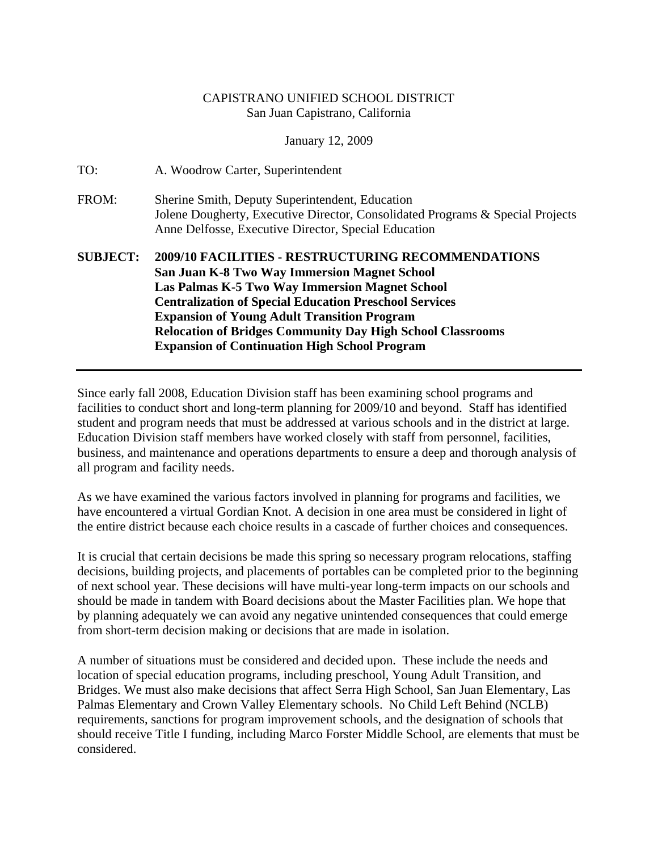## CAPISTRANO UNIFIED SCHOOL DISTRICT San Juan Capistrano, California

January 12, 2009

| TO:             | A. Woodrow Carter, Superintendent                                                                                                                                                                                                                                                                                                                                                                                      |
|-----------------|------------------------------------------------------------------------------------------------------------------------------------------------------------------------------------------------------------------------------------------------------------------------------------------------------------------------------------------------------------------------------------------------------------------------|
| FROM:           | Sherine Smith, Deputy Superintendent, Education<br>Jolene Dougherty, Executive Director, Consolidated Programs & Special Projects<br>Anne Delfosse, Executive Director, Special Education                                                                                                                                                                                                                              |
| <b>SUBJECT:</b> | 2009/10 FACILITIES - RESTRUCTURING RECOMMENDATIONS<br><b>San Juan K-8 Two Way Immersion Magnet School</b><br><b>Las Palmas K-5 Two Way Immersion Magnet School</b><br><b>Centralization of Special Education Preschool Services</b><br><b>Expansion of Young Adult Transition Program</b><br><b>Relocation of Bridges Community Day High School Classrooms</b><br><b>Expansion of Continuation High School Program</b> |

Since early fall 2008, Education Division staff has been examining school programs and facilities to conduct short and long-term planning for 2009/10 and beyond. Staff has identified student and program needs that must be addressed at various schools and in the district at large. Education Division staff members have worked closely with staff from personnel, facilities, business, and maintenance and operations departments to ensure a deep and thorough analysis of all program and facility needs.

As we have examined the various factors involved in planning for programs and facilities, we have encountered a virtual Gordian Knot. A decision in one area must be considered in light of the entire district because each choice results in a cascade of further choices and consequences.

It is crucial that certain decisions be made this spring so necessary program relocations, staffing decisions, building projects, and placements of portables can be completed prior to the beginning of next school year. These decisions will have multi-year long-term impacts on our schools and should be made in tandem with Board decisions about the Master Facilities plan. We hope that by planning adequately we can avoid any negative unintended consequences that could emerge from short-term decision making or decisions that are made in isolation.

A number of situations must be considered and decided upon. These include the needs and location of special education programs, including preschool, Young Adult Transition, and Bridges. We must also make decisions that affect Serra High School, San Juan Elementary, Las Palmas Elementary and Crown Valley Elementary schools. No Child Left Behind (NCLB) requirements, sanctions for program improvement schools, and the designation of schools that should receive Title I funding, including Marco Forster Middle School, are elements that must be considered.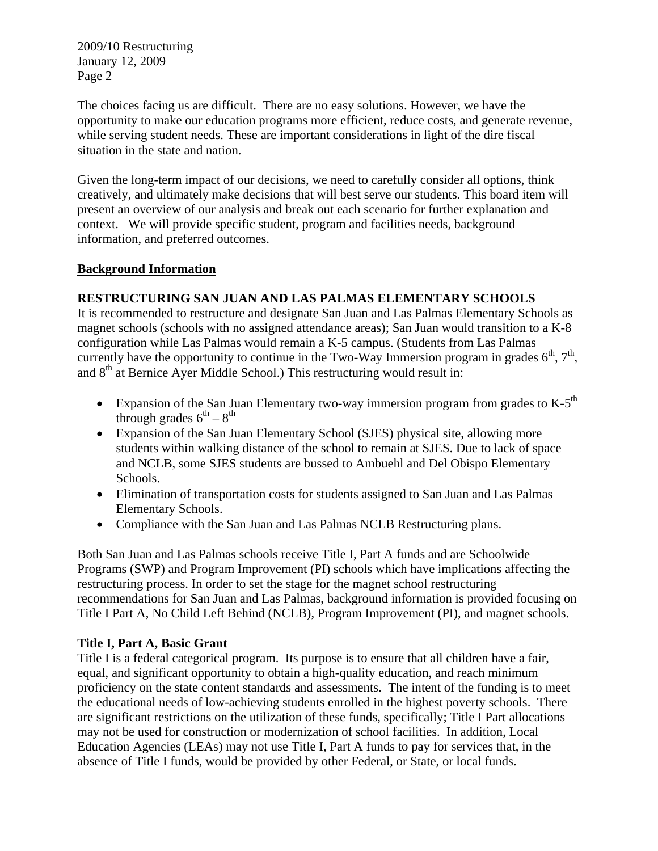The choices facing us are difficult. There are no easy solutions. However, we have the opportunity to make our education programs more efficient, reduce costs, and generate revenue, while serving student needs. These are important considerations in light of the dire fiscal situation in the state and nation.

Given the long-term impact of our decisions, we need to carefully consider all options, think creatively, and ultimately make decisions that will best serve our students. This board item will present an overview of our analysis and break out each scenario for further explanation and context. We will provide specific student, program and facilities needs, background information, and preferred outcomes.

## **Background Information**

# **RESTRUCTURING SAN JUAN AND LAS PALMAS ELEMENTARY SCHOOLS**

It is recommended to restructure and designate San Juan and Las Palmas Elementary Schools as magnet schools (schools with no assigned attendance areas); San Juan would transition to a K-8 configuration while Las Palmas would remain a K-5 campus. (Students from Las Palmas currently have the opportunity to continue in the Two-Way Immersion program in grades  $6<sup>th</sup>$ ,  $7<sup>th</sup>$ , and 8<sup>th</sup> at Bernice Ayer Middle School.) This restructuring would result in:

- Expansion of the San Juan Elementary two-way immersion program from grades to  $K-5<sup>th</sup>$ through grades  $6^{th} - 8^{th}$
- Expansion of the San Juan Elementary School (SJES) physical site, allowing more students within walking distance of the school to remain at SJES. Due to lack of space and NCLB, some SJES students are bussed to Ambuehl and Del Obispo Elementary Schools.
- Elimination of transportation costs for students assigned to San Juan and Las Palmas Elementary Schools.
- Compliance with the San Juan and Las Palmas NCLB Restructuring plans.

Both San Juan and Las Palmas schools receive Title I, Part A funds and are Schoolwide Programs (SWP) and Program Improvement (PI) schools which have implications affecting the restructuring process. In order to set the stage for the magnet school restructuring recommendations for San Juan and Las Palmas, background information is provided focusing on Title I Part A, No Child Left Behind (NCLB), Program Improvement (PI), and magnet schools.

## **Title I, Part A, Basic Grant**

Title I is a federal categorical program. Its purpose is to ensure that all children have a fair, equal, and significant opportunity to obtain a high-quality education, and reach minimum proficiency on the state content standards and assessments. The intent of the funding is to meet the educational needs of low-achieving students enrolled in the highest poverty schools. There are significant restrictions on the utilization of these funds, specifically; Title I Part allocations may not be used for construction or modernization of school facilities. In addition, Local Education Agencies (LEAs) may not use Title I, Part A funds to pay for services that, in the absence of Title I funds, would be provided by other Federal, or State, or local funds.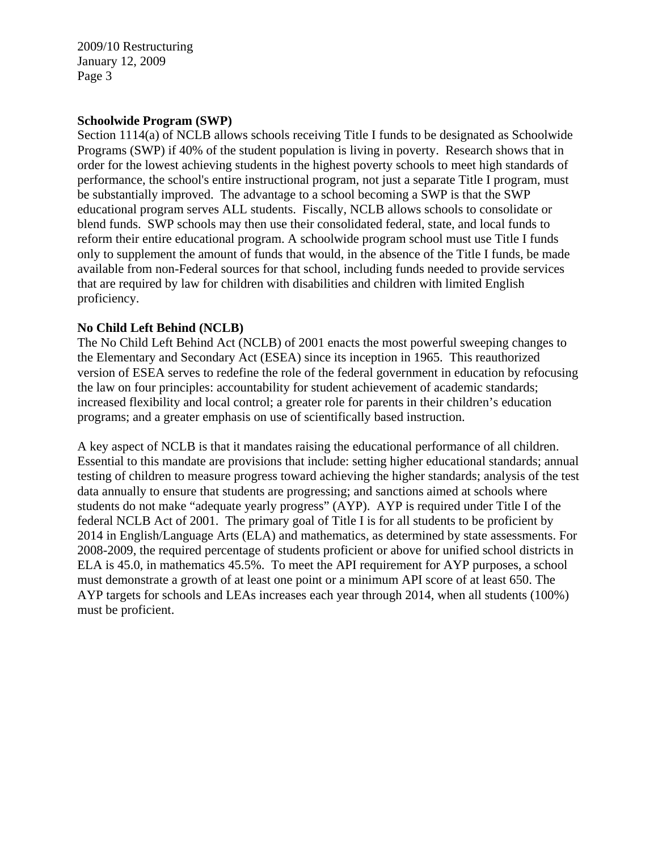#### **Schoolwide Program (SWP)**

Section 1114(a) of NCLB allows schools receiving Title I funds to be designated as Schoolwide Programs (SWP) if 40% of the student population is living in poverty. Research shows that in order for the lowest achieving students in the highest poverty schools to meet high standards of performance, the school's entire instructional program, not just a separate Title I program, must be substantially improved. The advantage to a school becoming a SWP is that the SWP educational program serves ALL students. Fiscally, NCLB allows schools to consolidate or blend funds. SWP schools may then use their consolidated federal, state, and local funds to reform their entire educational program. A schoolwide program school must use Title I funds only to supplement the amount of funds that would, in the absence of the Title I funds, be made available from non-Federal sources for that school, including funds needed to provide services that are required by law for children with disabilities and children with limited English proficiency.

#### **No Child Left Behind (NCLB)**

The No Child Left Behind Act (NCLB) of 2001 enacts the most powerful sweeping changes to the Elementary and Secondary Act (ESEA) since its inception in 1965. This reauthorized version of ESEA serves to redefine the role of the federal government in education by refocusing the law on four principles: accountability for student achievement of academic standards; increased flexibility and local control; a greater role for parents in their children's education programs; and a greater emphasis on use of scientifically based instruction.

A key aspect of NCLB is that it mandates raising the educational performance of all children. Essential to this mandate are provisions that include: setting higher educational standards; annual testing of children to measure progress toward achieving the higher standards; analysis of the test data annually to ensure that students are progressing; and sanctions aimed at schools where students do not make "adequate yearly progress" (AYP). AYP is required under Title I of the federal NCLB Act of 2001. The primary goal of Title I is for all students to be proficient by 2014 in English/Language Arts (ELA) and mathematics, as determined by state assessments. For 2008-2009, the required percentage of students proficient or above for unified school districts in ELA is 45.0, in mathematics 45.5%. To meet the API requirement for AYP purposes, a school must demonstrate a growth of at least one point or a minimum API score of at least 650. The AYP targets for schools and LEAs increases each year through 2014, when all students (100%) must be proficient.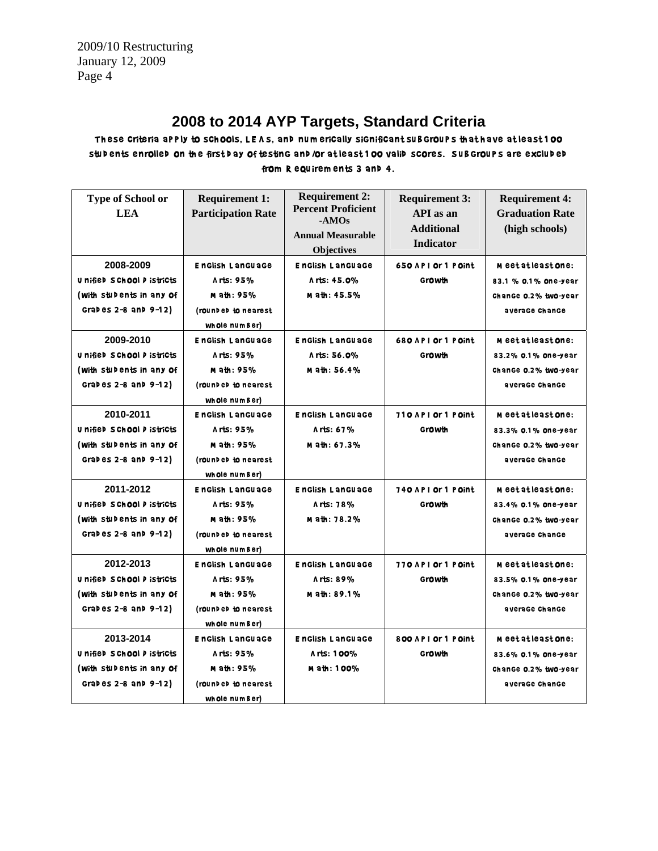# **2008 to 2014 AYP Targets, Standard Criteria**

These criteria apply to schools, LEAS, and numerically significant subgroups that have at least 1 00 stud ents enrolled on the first d ay of testing and /or at least 1 00 valid scores. Sub groups are excluded from R equirem ents 3 and 4.

| Type of School or<br><b>LEA</b> | <b>Requirement 1:</b><br><b>Participation Rate</b> | <b>Requirement 2:</b><br><b>Percent Proficient</b><br>$-AMOs$<br><b>Annual Measurable</b><br><b>Objectives</b> | <b>Requirement 3:</b><br>API as an<br><b>Additional</b><br><b>Indicator</b> | <b>Requirement 4:</b><br><b>Graduation Rate</b><br>(high schools) |
|---------------------------------|----------------------------------------------------|----------------------------------------------------------------------------------------------------------------|-----------------------------------------------------------------------------|-------------------------------------------------------------------|
| 2008-2009                       | <b>EnGlish LanGuaGe</b>                            | <b>EnGlish LanGuaGe</b>                                                                                        | 650 API Or 1 POInt                                                          | <b>M</b> eet at least <b>on</b> e:                                |
| U nified S Chool P istricts     | Arts: 95%                                          | A rts: 45.0%                                                                                                   | Growth                                                                      | 83.1 % 0.1% one-year                                              |
| (with stubents in any of        | M ath: 95%                                         | M ath: 45.5%                                                                                                   |                                                                             | Change 0.2% two-year                                              |
| Grades $2-8$ and $9-12$ )       | (rounded to nearest                                |                                                                                                                |                                                                             | average Change                                                    |
|                                 | whole numBer)                                      |                                                                                                                |                                                                             |                                                                   |
| 2009-2010                       | <b>EnGlish LanGuaGe</b>                            | <b>EnGlish LanGuaGe</b>                                                                                        | 680 API Or 1 POInt                                                          | <b>M</b> eet at least <b>on</b> e:                                |
| U nified S Chool P istricts     | Arts: 95%                                          | Arts: 56.0%                                                                                                    | Growth                                                                      | 83.2% 0.1% one-year                                               |
| (with stubents in any of        | M ath: 95%                                         | M ath: 56.4%                                                                                                   |                                                                             | Change 0.2% two-year                                              |
| Grades $2-8$ and $9-12$ )       | (rounded to nearest                                |                                                                                                                |                                                                             | average Change                                                    |
|                                 | whole number)                                      |                                                                                                                |                                                                             |                                                                   |
| 2010-2011                       | <b>EnGlish LanGuaGe</b>                            | EnGlish LanGuaGe                                                                                               | 710 API Or 1 Point                                                          | Meetatleast <b>o</b> ne:                                          |
| U nified S Chool D istricts     | Arts: 95%                                          | Arts: 67%                                                                                                      | Growth                                                                      | 83.3% 0.1% one-year                                               |
| (with stubents in any of        | M ath: 95%                                         | Math: 67.3%                                                                                                    |                                                                             | Change 0.2% two-year                                              |
| Grades $2-8$ and $9-12$ )       | (rounded to nearest                                |                                                                                                                |                                                                             | average Change                                                    |
|                                 | whole numBer)                                      |                                                                                                                |                                                                             |                                                                   |
| 2011-2012                       | <b>EnGlish LanGuaGe</b>                            | <b>EnGlish LanGuaGe</b>                                                                                        | 740 API Or 1 POInt                                                          | Meetatleast <b>o</b> ne:                                          |
| U nified S Chool P istricts     | Arts: 95%                                          | Arts: 78%                                                                                                      | Growth                                                                      | 83.4% 0.1% one-year                                               |
| (with stubents in any of        | M ath: 95%                                         | M ath: 78.2%                                                                                                   |                                                                             | Change 0.2% two-year                                              |
| Grades $2-8$ and $9-12$ )       | (rounded to nearest                                |                                                                                                                |                                                                             | average Change                                                    |
|                                 | whole numBer)                                      |                                                                                                                |                                                                             |                                                                   |
| 2012-2013                       | <b>EnGlish LanGuaGe</b>                            | <b>EnGlish LanGuaGe</b>                                                                                        | 770 API Or 1 POint                                                          | Meetatleast <b>o</b> ne:                                          |
| U nified S Chool P istricts     | Arts: 95%                                          | Arts: 89%                                                                                                      | Growth                                                                      | 83.5% 0.1% one-year                                               |
| (with stubents in any of        | M ath: 95%                                         | M ath: 89.1%                                                                                                   |                                                                             | Change 0.2% two-year                                              |
| Grades $2-8$ and $9-12$ )       | (rounded to nearest                                |                                                                                                                |                                                                             | average Change                                                    |
|                                 | whole numBer)                                      |                                                                                                                |                                                                             |                                                                   |
| 2013-2014                       | <b>English Language</b>                            | <b>English Language</b>                                                                                        | 800 API Or 1 Point                                                          | Meetatleast <b>o</b> ne:                                          |
| U nified S Chool P istricts     | Arts: 95%                                          | Arts: 100%                                                                                                     | Growth                                                                      | 83.6% 0.1% one-year                                               |
| (with stubents in any of        | M ath: 95%                                         | M ath: 100%                                                                                                    |                                                                             | Change 0.2% two-year                                              |
| Grades $2-8$ and $9-12$ )       | (rounded to nearest                                |                                                                                                                |                                                                             | average Change                                                    |
|                                 | whole number)                                      |                                                                                                                |                                                                             |                                                                   |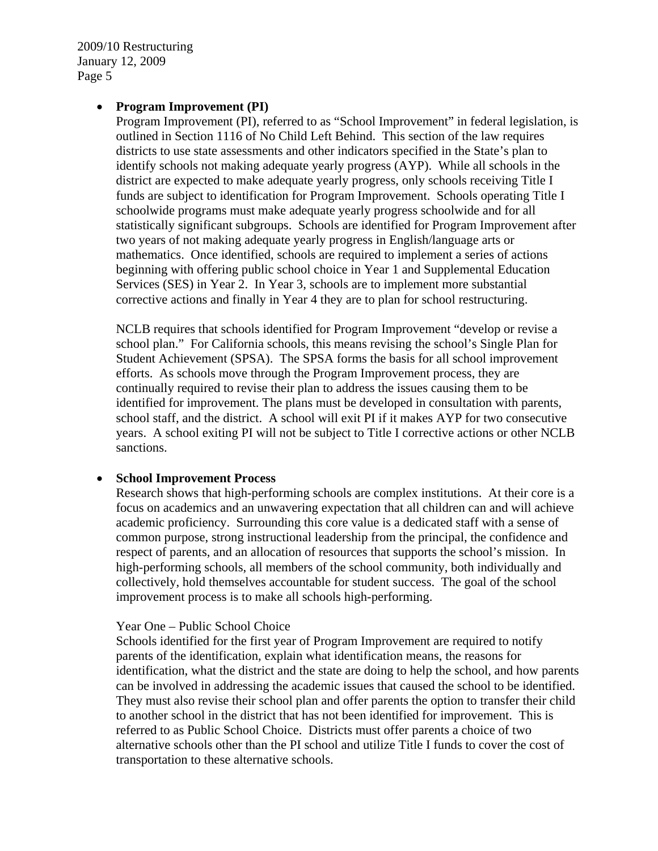#### • **Program Improvement (PI)**

Program Improvement (PI), referred to as "School Improvement" in federal legislation, is outlined in Section 1116 of No Child Left Behind. This section of the law requires districts to use state assessments and other indicators specified in the State's plan to identify schools not making adequate yearly progress (AYP). While all schools in the district are expected to make adequate yearly progress, only schools receiving Title I funds are subject to identification for Program Improvement. Schools operating Title I schoolwide programs must make adequate yearly progress schoolwide and for all statistically significant subgroups. Schools are identified for Program Improvement after two years of not making adequate yearly progress in English/language arts or mathematics. Once identified, schools are required to implement a series of actions beginning with offering public school choice in Year 1 and Supplemental Education Services (SES) in Year 2. In Year 3, schools are to implement more substantial corrective actions and finally in Year 4 they are to plan for school restructuring.

NCLB requires that schools identified for Program Improvement "develop or revise a school plan." For California schools, this means revising the school's Single Plan for Student Achievement (SPSA). The SPSA forms the basis for all school improvement efforts. As schools move through the Program Improvement process, they are continually required to revise their plan to address the issues causing them to be identified for improvement. The plans must be developed in consultation with parents, school staff, and the district. A school will exit PI if it makes AYP for two consecutive years. A school exiting PI will not be subject to Title I corrective actions or other NCLB sanctions.

#### • **School Improvement Process**

Research shows that high-performing schools are complex institutions. At their core is a focus on academics and an unwavering expectation that all children can and will achieve academic proficiency. Surrounding this core value is a dedicated staff with a sense of common purpose, strong instructional leadership from the principal, the confidence and respect of parents, and an allocation of resources that supports the school's mission. In high-performing schools, all members of the school community, both individually and collectively, hold themselves accountable for student success. The goal of the school improvement process is to make all schools high-performing.

#### Year One – Public School Choice

Schools identified for the first year of Program Improvement are required to notify parents of the identification, explain what identification means, the reasons for identification, what the district and the state are doing to help the school, and how parents can be involved in addressing the academic issues that caused the school to be identified. They must also revise their school plan and offer parents the option to transfer their child to another school in the district that has not been identified for improvement. This is referred to as Public School Choice. Districts must offer parents a choice of two alternative schools other than the PI school and utilize Title I funds to cover the cost of transportation to these alternative schools.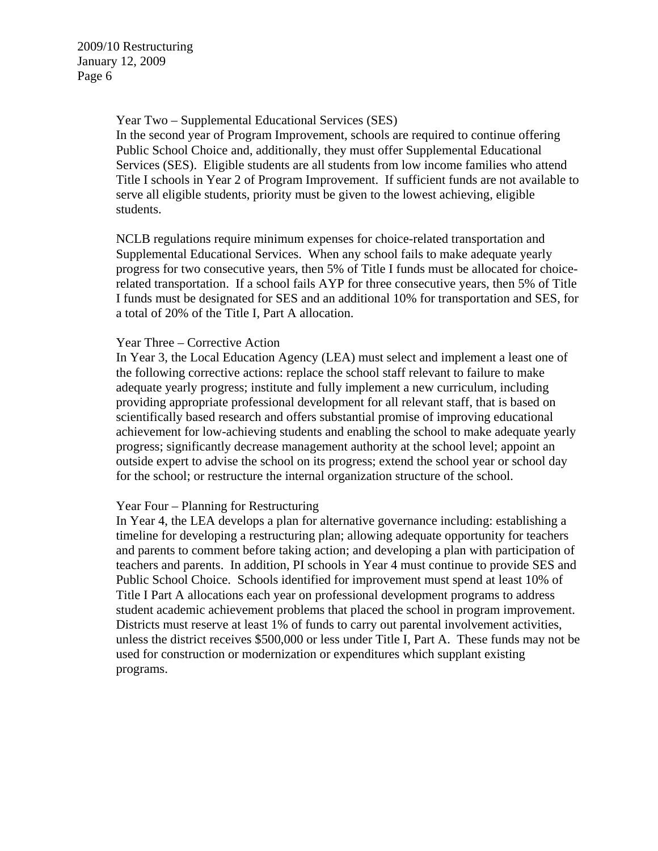Year Two – Supplemental Educational Services (SES)

In the second year of Program Improvement, schools are required to continue offering Public School Choice and, additionally, they must offer Supplemental Educational Services (SES). Eligible students are all students from low income families who attend Title I schools in Year 2 of Program Improvement. If sufficient funds are not available to serve all eligible students, priority must be given to the lowest achieving, eligible students.

NCLB regulations require minimum expenses for choice-related transportation and Supplemental Educational Services. When any school fails to make adequate yearly progress for two consecutive years, then 5% of Title I funds must be allocated for choicerelated transportation. If a school fails AYP for three consecutive years, then 5% of Title I funds must be designated for SES and an additional 10% for transportation and SES, for a total of 20% of the Title I, Part A allocation.

#### Year Three – Corrective Action

In Year 3, the Local Education Agency (LEA) must select and implement a least one of the following corrective actions: replace the school staff relevant to failure to make adequate yearly progress; institute and fully implement a new curriculum, including providing appropriate professional development for all relevant staff, that is based on scientifically based research and offers substantial promise of improving educational achievement for low-achieving students and enabling the school to make adequate yearly progress; significantly decrease management authority at the school level; appoint an outside expert to advise the school on its progress; extend the school year or school day for the school; or restructure the internal organization structure of the school.

#### Year Four – Planning for Restructuring

In Year 4, the LEA develops a plan for alternative governance including: establishing a timeline for developing a restructuring plan; allowing adequate opportunity for teachers and parents to comment before taking action; and developing a plan with participation of teachers and parents. In addition, PI schools in Year 4 must continue to provide SES and Public School Choice. Schools identified for improvement must spend at least 10% of Title I Part A allocations each year on professional development programs to address student academic achievement problems that placed the school in program improvement. Districts must reserve at least 1% of funds to carry out parental involvement activities, unless the district receives \$500,000 or less under Title I, Part A. These funds may not be used for construction or modernization or expenditures which supplant existing programs.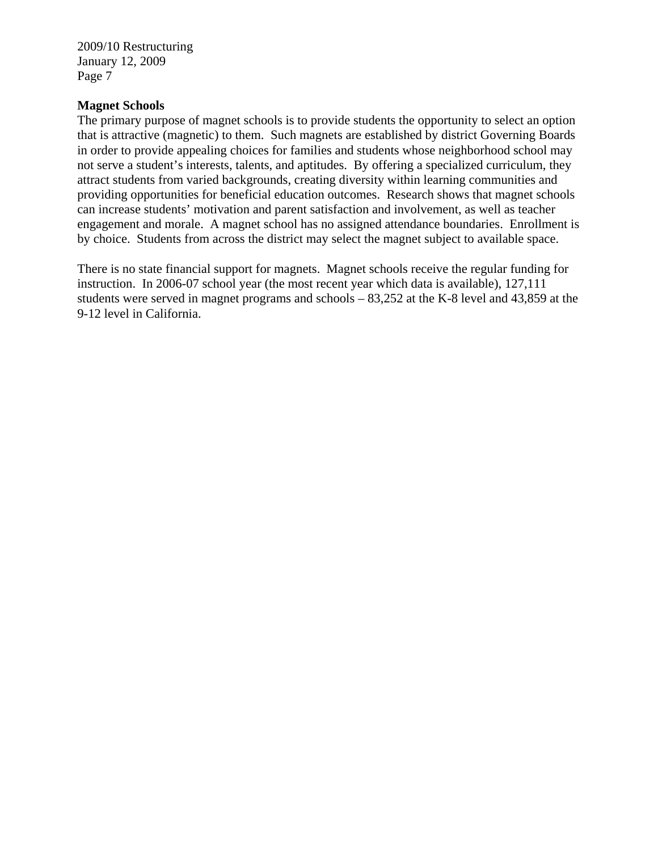#### **Magnet Schools**

The primary purpose of magnet schools is to provide students the opportunity to select an option that is attractive (magnetic) to them. Such magnets are established by district Governing Boards in order to provide appealing choices for families and students whose neighborhood school may not serve a student's interests, talents, and aptitudes. By offering a specialized curriculum, they attract students from varied backgrounds, creating diversity within learning communities and providing opportunities for beneficial education outcomes. Research shows that magnet schools can increase students' motivation and parent satisfaction and involvement, as well as teacher engagement and morale. A magnet school has no assigned attendance boundaries. Enrollment is by choice. Students from across the district may select the magnet subject to available space.

There is no state financial support for magnets. Magnet schools receive the regular funding for instruction. In 2006-07 school year (the most recent year which data is available), 127,111 students were served in magnet programs and schools – 83,252 at the K-8 level and 43,859 at the 9-12 level in California.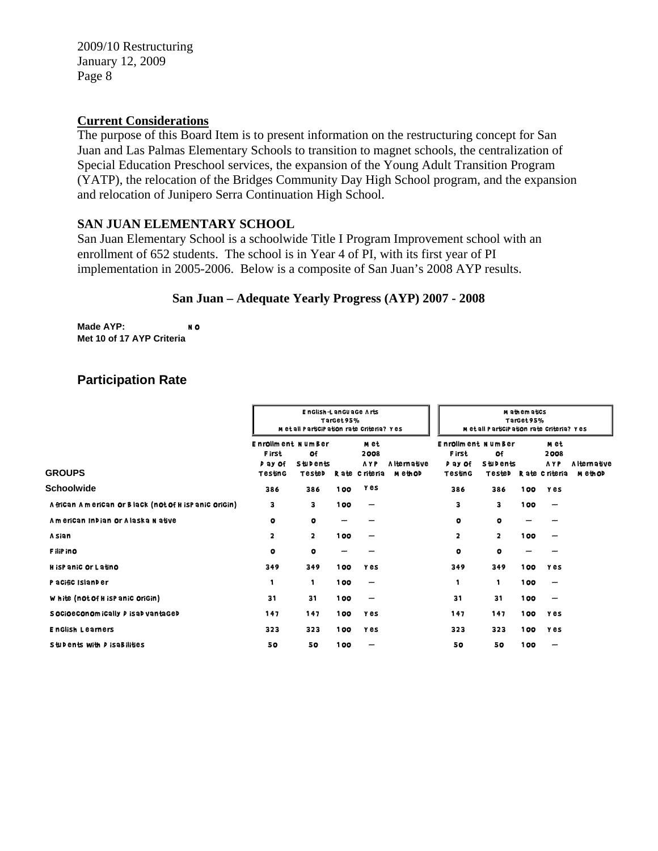#### **Current Considerations**

The purpose of this Board Item is to present information on the restructuring concept for San Juan and Las Palmas Elementary Schools to transition to magnet schools, the centralization of Special Education Preschool services, the expansion of the Young Adult Transition Program (YATP), the relocation of the Bridges Community Day High School program, and the expansion and relocation of Junipero Serra Continuation High School.

## **SAN JUAN ELEMENTARY SCHOOL**

San Juan Elementary School is a schoolwide Title I Program Improvement school with an enrollment of 652 students. The school is in Year 4 of PI, with its first year of PI implementation in 2005-2006. Below is a composite of San Juan's 2008 AYP results.

#### **San Juan – Adequate Yearly Progress (AYP) 2007 - 2008**

**Made AYP:** NO **Met 10 of 17 AYP Criteria**

# **Participation Rate**

|                                                       |                                                                       | M et all ParticiPation rate Criteria? Yes | M athematics<br>TarGet95%<br>Metall Participation rate criteria? Yes |                                             |                               |                                                                |                                 |     |                                               |                                     |
|-------------------------------------------------------|-----------------------------------------------------------------------|-------------------------------------------|----------------------------------------------------------------------|---------------------------------------------|-------------------------------|----------------------------------------------------------------|---------------------------------|-----|-----------------------------------------------|-------------------------------------|
| <b>GROUPS</b>                                         | <b>Enrollment NumBer</b><br><b>First</b><br>P ay Of<br><b>Testing</b> | Of<br><b>Stubents</b><br>TesteD           |                                                                      | m et<br>2008<br><b>AYP</b><br>Rate Criteria | A Iternative<br><b>MethOD</b> | <b>Enrollment NumBer</b><br><b>First</b><br>p ay of<br>Testing | Οf<br><b>Stubents</b><br>TesteD |     | m et<br>2008<br><b>AYP</b><br>R ate C riteria | <b>Alternative</b><br><b>MethOD</b> |
| Schoolwide                                            | 386                                                                   | 386                                       | 100                                                                  | <b>Yes</b>                                  |                               | 386                                                            | 386                             | 100 | <b>Y</b> es                                   |                                     |
| A frican American or Black (not of H is Panic Origin) | з                                                                     | з                                         | 100                                                                  | $\overline{\phantom{m}}$                    |                               | 3                                                              | 3                               | 100 | -                                             |                                     |
| American Indian or Alaska Native                      | $\circ$                                                               | $\bullet$                                 |                                                                      |                                             |                               | $\circ$                                                        | o                               |     |                                               |                                     |
| A sian                                                | $\overline{\mathbf{2}}$                                               | $\overline{\mathbf{2}}$                   | 100                                                                  |                                             |                               | 2                                                              | 2                               | 100 |                                               |                                     |
| F iliP in O                                           | $\circ$                                                               | $\bullet$                                 |                                                                      |                                             |                               | $\circ$                                                        | $\circ$                         |     |                                               |                                     |
| H isPaniC Or Latino                                   | 349                                                                   | 349                                       | 100                                                                  | <b>Y</b> es                                 |                               | 349                                                            | 349                             | 100 | <b>Y</b> es                                   |                                     |
| P acific Island er                                    | 1                                                                     | 1                                         | 100                                                                  | $\overline{\phantom{m}}$                    |                               | 1                                                              | 1                               | 100 |                                               |                                     |
| White (not of H is Panic origin)                      | 31                                                                    | 31                                        | 100                                                                  | -                                           |                               | 31                                                             | 31                              | 100 |                                               |                                     |
| S OCIOECONOM ICAlly P ISAD vantaged                   | 147                                                                   | 147                                       | 100                                                                  | <b>Y</b> es                                 |                               | 147                                                            | 147                             | 100 | <b>Y</b> es                                   |                                     |
| <b>English Learners</b>                               | 323                                                                   | 323                                       | 100                                                                  | y es                                        |                               | 323                                                            | 323                             | 100 | <b>Y</b> es                                   |                                     |
| Students with <i>D</i> is a Bilities                  | 50                                                                    | 50                                        | 100                                                                  | -                                           |                               | 50                                                             | 50                              | 100 |                                               |                                     |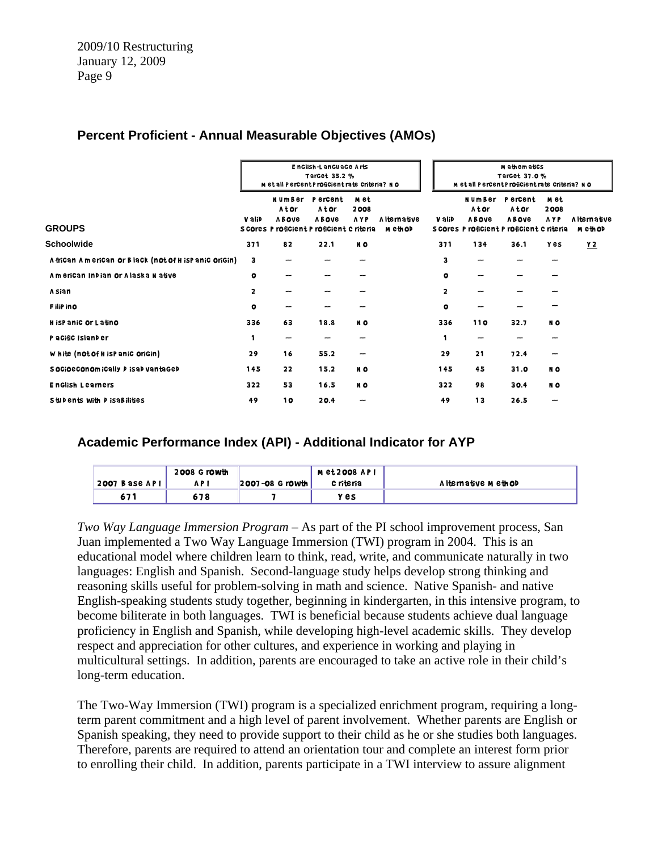# **Percent Proficient - Annual Measurable Objectives (AMOs)**

|                                                       |              | EnGlish-LanGuaGe Arts<br>TarGet 35.2 %<br>M et all Percent Proficient rate Criteria? NO |                                  |                            |                          | M athematics<br>TarGet 37.0 %<br>M et all Percent Proficient rate Criteria? NO |                                       |                                                                               |                            |                                |
|-------------------------------------------------------|--------------|-----------------------------------------------------------------------------------------|----------------------------------|----------------------------|--------------------------|--------------------------------------------------------------------------------|---------------------------------------|-------------------------------------------------------------------------------|----------------------------|--------------------------------|
| <b>GROUPS</b>                                         | V alib       | NumBer<br>Ator<br><b>ABOVE</b><br>S COres P rOfiCient P rOfiCient C riteria             | P ercent<br>Ator<br><b>ABOVE</b> | m et<br>2008<br><b>AYP</b> | A Iternative<br>M eth OD | V alib                                                                         | <b>NumBer</b><br>Ator<br><b>ABOVE</b> | P ercent<br>Ator<br><b>ABOVE</b><br>S COres P rOfiCient P rOfiCient C riteria | m et<br>2008<br><b>AYP</b> | <b>Alternative</b><br>m eth OD |
| <b>Schoolwide</b>                                     | 371          | 82                                                                                      | 22.1                             | NO.                        |                          | 371                                                                            | 134                                   | 36.1                                                                          | <b>Y</b> es                | Y <sub>2</sub>                 |
| A frican American or Black (not of H is Panic Origin) | 3            | --                                                                                      | -                                |                            |                          | 3                                                                              | $\overline{\phantom{a}}$              | --                                                                            | --                         |                                |
| American Indian or Alaska Native                      | $\circ$      |                                                                                         | --                               |                            |                          | $\bullet$                                                                      |                                       |                                                                               |                            |                                |
| A sian                                                | $\mathbf{2}$ |                                                                                         |                                  |                            |                          | $\overline{\mathbf{2}}$                                                        |                                       |                                                                               |                            |                                |
| F iliP in O                                           | $\circ$      |                                                                                         | -                                |                            |                          | $\bullet$                                                                      |                                       | -                                                                             |                            |                                |
| H isPaniC Or Latino                                   | 336          | 63                                                                                      | 18.8                             | NO                         |                          | 336                                                                            | <b>110</b>                            | 32.7                                                                          | NO.                        |                                |
| P a Cific Island er                                   | 1            | -                                                                                       | --                               |                            |                          | 1                                                                              | -                                     | --                                                                            |                            |                                |
| White (not of H is Panic Origin)                      | 29           | 16                                                                                      | 55.2                             |                            |                          | 29                                                                             | 21                                    | 72.4                                                                          | -                          |                                |
| S OCIOECONOM ICAlly P ISAD vantaged                   | 145          | 22                                                                                      | 15.2                             | NO                         |                          | 145                                                                            | 45                                    | 31.0                                                                          | NO.                        |                                |
| <b>EnGlish Learners</b>                               | 322          | 53                                                                                      | 16.5                             | NO                         |                          | 322                                                                            | 98                                    | 30.4                                                                          | NO.                        |                                |
| Students with <i>D</i> is a Bilities                  | 49           | 10                                                                                      | 20.4                             |                            |                          | 49                                                                             | 13                                    | 26.5                                                                          |                            |                                |

## **Academic Performance Index (API) - Additional Indicator for AYP**

| 2007 Base API | 2008 G rowth<br>A P I | $ 2007 - 08$ Growth | M et 2008 AP I<br>c riteria | A I ternative Meth OD |
|---------------|-----------------------|---------------------|-----------------------------|-----------------------|
| 671           | 678                   |                     | y es                        |                       |

*Two Way Language Immersion Program* – As part of the PI school improvement process, San Juan implemented a Two Way Language Immersion (TWI) program in 2004. This is an educational model where children learn to think, read, write, and communicate naturally in two languages: English and Spanish. Second-language study helps develop strong thinking and reasoning skills useful for problem-solving in math and science. Native Spanish- and native English-speaking students study together, beginning in kindergarten, in this intensive program, to become biliterate in both languages. TWI is beneficial because students achieve dual language proficiency in English and Spanish, while developing high-level academic skills. They develop respect and appreciation for other cultures, and experience in working and playing in multicultural settings. In addition, parents are encouraged to take an active role in their child's long-term education.

The Two-Way Immersion (TWI) program is a specialized enrichment program, requiring a longterm parent commitment and a high level of parent involvement. Whether parents are English or Spanish speaking, they need to provide support to their child as he or she studies both languages. Therefore, parents are required to attend an orientation tour and complete an interest form prior to enrolling their child. In addition, parents participate in a TWI interview to assure alignment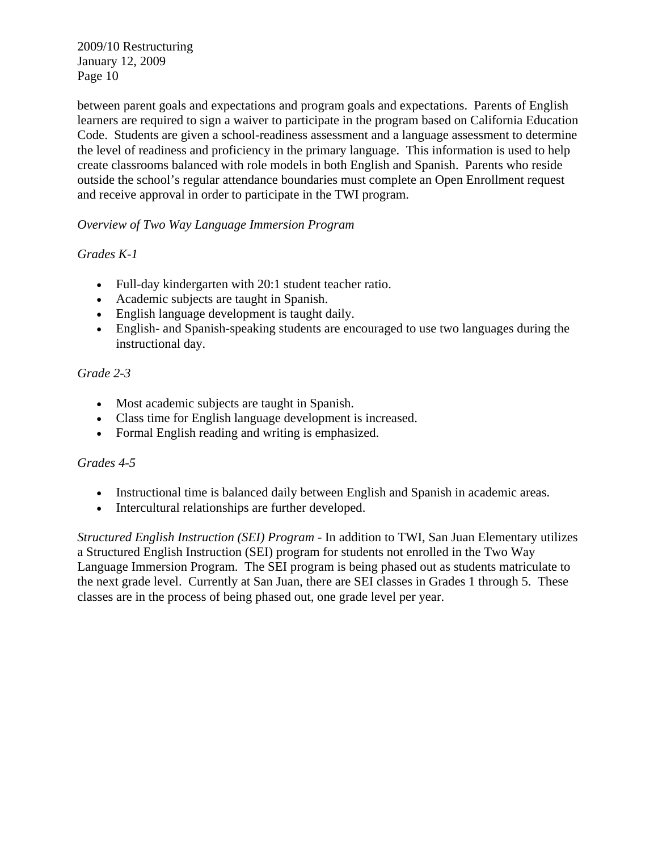between parent goals and expectations and program goals and expectations. Parents of English learners are required to sign a waiver to participate in the program based on California Education Code. Students are given a school-readiness assessment and a language assessment to determine the level of readiness and proficiency in the primary language. This information is used to help create classrooms balanced with role models in both English and Spanish. Parents who reside outside the school's regular attendance boundaries must complete an Open Enrollment request and receive approval in order to participate in the TWI program.

# *Overview of Two Way Language Immersion Program*

# *Grades K-1*

- Full-day kindergarten with 20:1 student teacher ratio.
- Academic subjects are taught in Spanish.
- English language development is taught daily.
- English- and Spanish-speaking students are encouraged to use two languages during the instructional day.

# *Grade 2-3*

- Most academic subjects are taught in Spanish.
- Class time for English language development is increased.
- Formal English reading and writing is emphasized.

## *Grades 4-5*

- Instructional time is balanced daily between English and Spanish in academic areas.
- Intercultural relationships are further developed.

*Structured English Instruction (SEI) Program* - In addition to TWI, San Juan Elementary utilizes a Structured English Instruction (SEI) program for students not enrolled in the Two Way Language Immersion Program. The SEI program is being phased out as students matriculate to the next grade level. Currently at San Juan, there are SEI classes in Grades 1 through 5. These classes are in the process of being phased out, one grade level per year.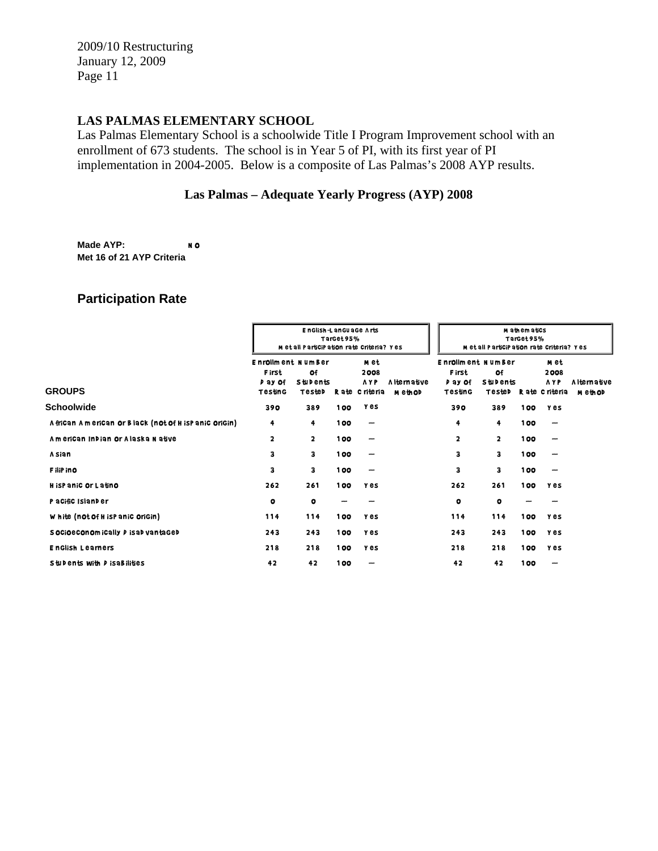## **LAS PALMAS ELEMENTARY SCHOOL**

Las Palmas Elementary School is a schoolwide Title I Program Improvement school with an enrollment of 673 students. The school is in Year 5 of PI, with its first year of PI implementation in 2004-2005. Below is a composite of Las Palmas's 2008 AYP results.

## **Las Palmas – Adequate Yearly Progress (AYP) 2008**

**Made AYP:** NO **Met 16 of 21 AYP Criteria**

# **Participation Rate**

|                                                       | M et all ParticiPation rate Criteria? Yes                      | M athematics<br>TarGet95%<br>M et all ParticiPation rate Criteria? Yes |       |                                             |                          |                                                                |                                 |     |                                                    |                               |
|-------------------------------------------------------|----------------------------------------------------------------|------------------------------------------------------------------------|-------|---------------------------------------------|--------------------------|----------------------------------------------------------------|---------------------------------|-----|----------------------------------------------------|-------------------------------|
| <b>GROUPS</b>                                         | <b>Enrollment NumBer</b><br><b>First</b><br>P ay Of<br>Testing | Of<br><b>Stubents</b><br>TesteD                                        |       | m et<br>2008<br><b>AYP</b><br>Rate Criteria | A Iternative<br>M eth OD | <b>Enrollment NumBer</b><br><b>First</b><br>P ay Of<br>Testing | Οf<br><b>Stubents</b><br>TesteD |     | m et<br>2008<br><b>AYP</b><br><b>Rate Criteria</b> | <b>Alternative</b><br>M ethOD |
| Schoolwide                                            | 390                                                            | 389                                                                    | 100   | y es                                        |                          | 390                                                            | 389                             | 100 | <b>Yes</b>                                         |                               |
| A frican American or Black (not of H is Panic Origin) | 4                                                              | 4                                                                      | 100   | $\overline{\phantom{m}}$                    |                          | 4                                                              | 4                               | 100 |                                                    |                               |
| American Indian or Alaska Native                      | $\overline{\mathbf{2}}$                                        | $\overline{2}$                                                         | 100   | $\overline{\phantom{m}}$                    |                          | $\overline{\mathbf{2}}$                                        | $\overline{\mathbf{2}}$         | 100 | --                                                 |                               |
| A sian                                                | з                                                              | з                                                                      | 100   |                                             |                          | 3                                                              | з                               | 100 |                                                    |                               |
| F iliP in O                                           | з                                                              | з                                                                      | 100   | -                                           |                          | 3                                                              | 3                               | 100 |                                                    |                               |
| H isPaniC Or Latino                                   | 262                                                            | 261                                                                    | 100   | <b>Y</b> es                                 |                          | 262                                                            | 261                             | 100 | <b>Y</b> es                                        |                               |
| Pacific Islander                                      | $\bullet$                                                      | $\bullet$                                                              |       |                                             |                          | $\circ$                                                        | $\bullet$                       |     |                                                    |                               |
| White (not of H is Panic Origin)                      | 114                                                            | 114                                                                    | 100   | y es                                        |                          | 114                                                            | 114                             | 100 | <b>Y</b> es                                        |                               |
| S OCIOECONOM ICAlly P ISAD vantaged                   | 243                                                            | 243                                                                    | 100   | <b>Y</b> es                                 |                          | 243                                                            | 243                             | 100 | <b>Yes</b>                                         |                               |
| <b>English Learners</b>                               | 218                                                            | 218                                                                    | 100   | <b>Y</b> es                                 |                          | 218                                                            | 218                             | 100 | y es                                               |                               |
| Students with <i>D</i> is a Bilities                  | 42                                                             | 42                                                                     | 1 0 0 | -                                           |                          | 42                                                             | 42                              | 100 |                                                    |                               |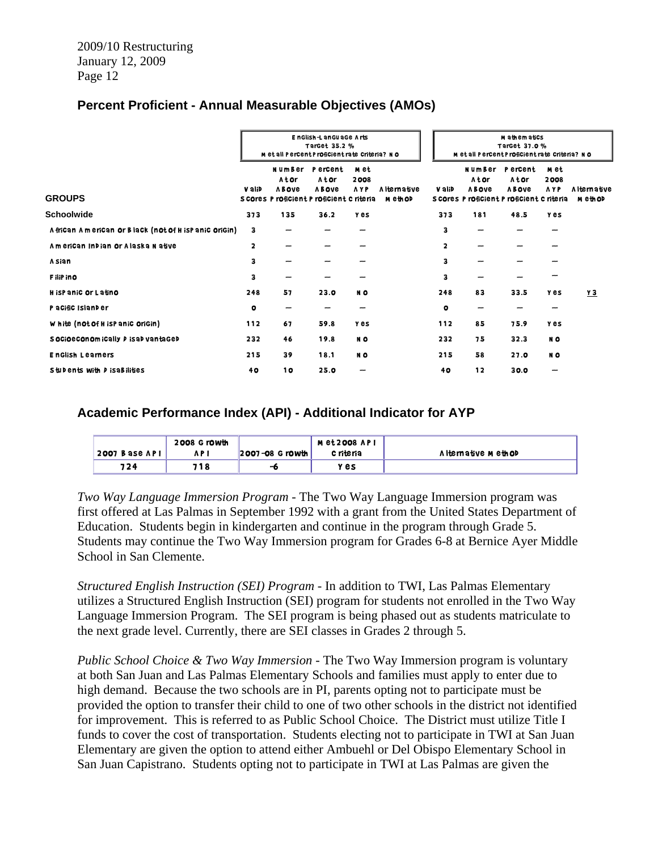# **Percent Proficient - Annual Measurable Objectives (AMOs)**

|                                                       |           | EnGlish-LanGuaGe Arts<br>TarGet 35.2 %<br>M et all Percent Proficient rate Criteria? NO |                                  |                            |                       |                         | M athematics<br>TarGet 37.0 %<br>M et all Percent Proficient rate Criteria? NO |                                                                               |                            |                                |
|-------------------------------------------------------|-----------|-----------------------------------------------------------------------------------------|----------------------------------|----------------------------|-----------------------|-------------------------|--------------------------------------------------------------------------------|-------------------------------------------------------------------------------|----------------------------|--------------------------------|
| <b>GROUPS</b>                                         | V alib    | NumBer<br>Ator<br><b>ABOVE</b><br>S COres P rOfiCient P rOfiCient C riteria             | P ercent<br>Ator<br><b>ABOVE</b> | m et<br>2008<br><b>AYP</b> | A Iternative<br>метор | V alib                  | <b>NumBer</b><br>Ator<br><b>ABOVE</b>                                          | P ercent<br>Ator<br><b>ABOVE</b><br>S COres P rOfiCient P rOfiCient C riteria | m et<br>2008<br><b>AYP</b> | <b>Alternative</b><br>m eth OD |
| <b>Schoolwide</b>                                     | 373       | 135                                                                                     | 36.2                             | <b>Yes</b>                 |                       | 373                     | 181                                                                            | 48.5                                                                          | <b>Y</b> es                |                                |
| A frican American or Black (not of H is Panic Origin) | 3         | -                                                                                       | -                                |                            |                       | 3                       | -                                                                              | $\overline{\phantom{a}}$                                                      | --                         |                                |
| American Indian or Alaska Native                      | 2         |                                                                                         | --                               |                            |                       | $\overline{\mathbf{2}}$ | --                                                                             |                                                                               |                            |                                |
| A sian                                                | 3         |                                                                                         |                                  |                            |                       | 3                       | -                                                                              |                                                                               |                            |                                |
| F iliP in O                                           | 3         |                                                                                         |                                  |                            |                       | 3                       | -                                                                              |                                                                               |                            |                                |
| H isPaniC Or Latino                                   | 248       | 57                                                                                      | 23.0                             | NO                         |                       | 248                     | 83                                                                             | 33.5                                                                          | <b>Y</b> es                | $Y$ 3                          |
| P a Cific Island er                                   | $\bullet$ | --                                                                                      | -                                | -                          |                       | $\bullet$               | -                                                                              | -                                                                             |                            |                                |
| White (not of H is Panic Origin)                      | 112       | 67                                                                                      | 59.8                             | Y es                       |                       | 112                     | 85                                                                             | 75.9                                                                          | <b>Y</b> es                |                                |
| S OCIOECONOM ICAlly P ISAD vantaged                   | 232       | 46                                                                                      | 19.8                             | NO                         |                       | 232                     | 75                                                                             | 32.3                                                                          | NO                         |                                |
| <b>EnGlish Learners</b>                               | 215       | 39                                                                                      | 18.1                             | NO                         |                       | 215                     | 58                                                                             | 27.0                                                                          | NO                         |                                |
| Students with <i>D</i> is a Bilities                  | 40        | 10                                                                                      | 25.0                             |                            |                       | 40                      | 12                                                                             | 30.0                                                                          |                            |                                |

## **Academic Performance Index (API) - Additional Indicator for AYP**

|                 | 2008 G rowth |                     | M et 2008 AP I |                       |
|-----------------|--------------|---------------------|----------------|-----------------------|
| $2007$ Base API | A P I        | $ 2007 - 08$ Growth | c riteria      | A I ternative Meth OD |
| 724             | 718          | -6                  | y es           |                       |

*Two Way Language Immersion Program* - The Two Way Language Immersion program was first offered at Las Palmas in September 1992 with a grant from the United States Department of Education. Students begin in kindergarten and continue in the program through Grade 5. Students may continue the Two Way Immersion program for Grades 6-8 at Bernice Ayer Middle School in San Clemente.

*Structured English Instruction (SEI) Program* - In addition to TWI, Las Palmas Elementary utilizes a Structured English Instruction (SEI) program for students not enrolled in the Two Way Language Immersion Program. The SEI program is being phased out as students matriculate to the next grade level. Currently, there are SEI classes in Grades 2 through 5.

*Public School Choice & Two Way Immersion* - The Two Way Immersion program is voluntary at both San Juan and Las Palmas Elementary Schools and families must apply to enter due to high demand. Because the two schools are in PI, parents opting not to participate must be provided the option to transfer their child to one of two other schools in the district not identified for improvement. This is referred to as Public School Choice. The District must utilize Title I funds to cover the cost of transportation. Students electing not to participate in TWI at San Juan Elementary are given the option to attend either Ambuehl or Del Obispo Elementary School in San Juan Capistrano. Students opting not to participate in TWI at Las Palmas are given the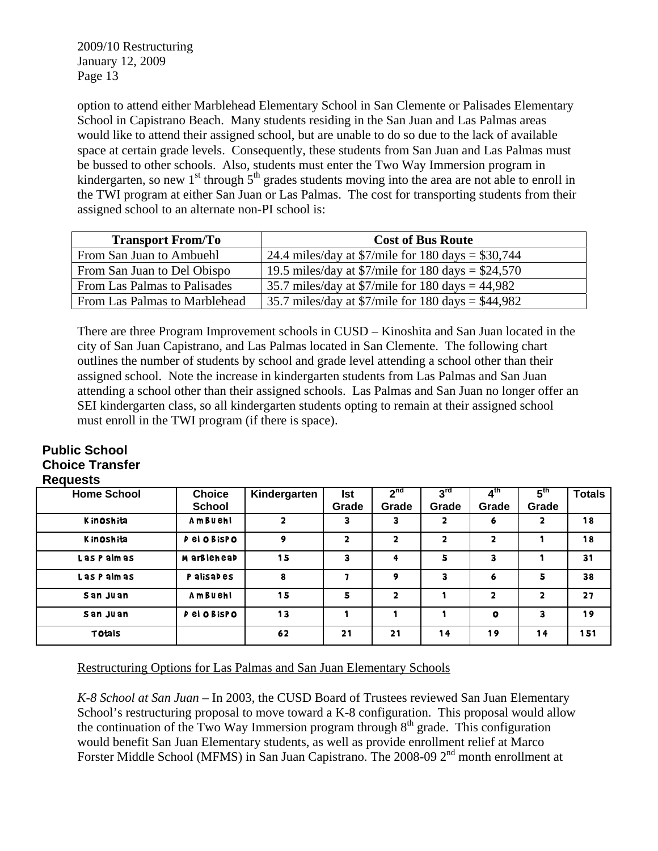option to attend either Marblehead Elementary School in San Clemente or Palisades Elementary School in Capistrano Beach. Many students residing in the San Juan and Las Palmas areas would like to attend their assigned school, but are unable to do so due to the lack of available space at certain grade levels. Consequently, these students from San Juan and Las Palmas must be bussed to other schools. Also, students must enter the Two Way Immersion program in kindergarten, so new 1<sup>st</sup> through  $5<sup>th</sup>$  grades students moving into the area are not able to enroll in the TWI program at either San Juan or Las Palmas. The cost for transporting students from their assigned school to an alternate non-PI school is:

| <b>Transport From/To</b>      | <b>Cost of Bus Route</b>                                             |
|-------------------------------|----------------------------------------------------------------------|
| From San Juan to Ambuehl      | 24.4 miles/day at \$7/mile for 180 days = \$30,744                   |
| From San Juan to Del Obispo   | 19.5 miles/day at \$7/mile for 180 days = $$24,570$                  |
| From Las Palmas to Palisades  | 35.7 miles/day at $\frac{\gamma}{\gamma}$ mile for 180 days = 44,982 |
| From Las Palmas to Marblehead | 35.7 miles/day at \$7/mile for 180 days = \$44,982                   |

There are three Program Improvement schools in CUSD – Kinoshita and San Juan located in the city of San Juan Capistrano, and Las Palmas located in San Clemente. The following chart outlines the number of students by school and grade level attending a school other than their assigned school. Note the increase in kindergarten students from Las Palmas and San Juan attending a school other than their assigned schools. Las Palmas and San Juan no longer offer an SEI kindergarten class, so all kindergarten students opting to remain at their assigned school must enroll in the TWI program (if there is space).

#### **Public School Choice Transfer Requests**

| <b>Home School</b> | <b>Choice</b><br><b>School</b> | Kindergarten            | <b>Ist</b><br>Grade | 2 <sup>nd</sup><br>Grade | 3 <sup>rd</sup><br>Grade | $\overline{A}^{\text{th}}$<br>Grade | 5 <sup>th</sup><br>Grade | <b>Totals</b> |
|--------------------|--------------------------------|-------------------------|---------------------|--------------------------|--------------------------|-------------------------------------|--------------------------|---------------|
| Kinoshita          | Ambuehl                        | $\overline{\mathbf{2}}$ | 3                   | 3                        | 2                        | 6                                   | $\overline{\mathbf{2}}$  | 18            |
| Kinoshita          | P el O Bispo                   | 9                       | $\mathbf{2}$        | $\overline{\mathbf{2}}$  | 2                        | 2                                   |                          | 18            |
| Las Palmas         | M arBlehead                    | 15                      | 3                   | 4                        | 5                        | 3                                   |                          | 31            |
| Las Palmas         | P alisades                     | 8                       |                     | 9                        | 3                        | 6                                   | 5                        | 38            |
| San Juan           | Ambuehl                        | 15                      | 5                   | $\overline{\mathbf{2}}$  |                          | 2                                   | $\overline{\mathbf{2}}$  | 27            |
| San Juan           | Pel O Bispo                    | 13                      |                     |                          |                          | $\mathbf o$                         | 3                        | 19            |
| <b>Totals</b>      |                                | 62                      | 21                  | 21                       | 14                       | 19                                  | 14                       | 151           |

# Restructuring Options for Las Palmas and San Juan Elementary Schools

*K-8 School at San Juan* – In 2003, the CUSD Board of Trustees reviewed San Juan Elementary School's restructuring proposal to move toward a K-8 configuration. This proposal would allow the continuation of the Two Way Immersion program through  $8<sup>th</sup>$  grade. This configuration would benefit San Juan Elementary students, as well as provide enrollment relief at Marco Forster Middle School (MFMS) in San Juan Capistrano. The 2008-09 2<sup>nd</sup> month enrollment at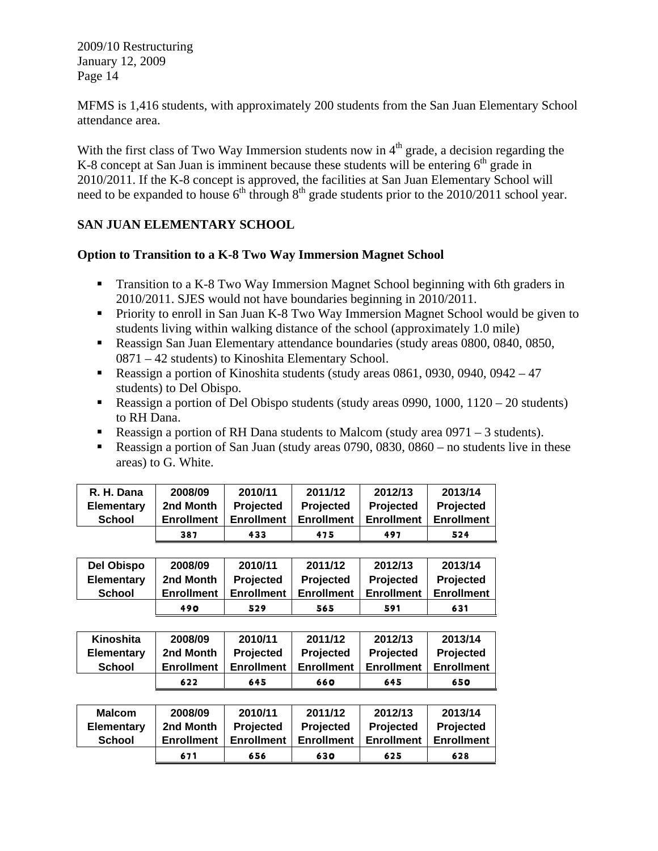MFMS is 1,416 students, with approximately 200 students from the San Juan Elementary School attendance area.

With the first class of Two Way Immersion students now in  $4<sup>th</sup>$  grade, a decision regarding the K-8 concept at San Juan is imminent because these students will be entering  $6<sup>th</sup>$  grade in 2010/2011. If the K-8 concept is approved, the facilities at San Juan Elementary School will need to be expanded to house  $6<sup>th</sup>$  through  $8<sup>th</sup>$  grade students prior to the 2010/2011 school year.

# **SAN JUAN ELEMENTARY SCHOOL**

## **Option to Transition to a K-8 Two Way Immersion Magnet School**

- Transition to a K-8 Two Way Immersion Magnet School beginning with 6th graders in 2010/2011. SJES would not have boundaries beginning in 2010/2011.
- **Priority to enroll in San Juan K-8 Two Way Immersion Magnet School would be given to** students living within walking distance of the school (approximately 1.0 mile)
- Reassign San Juan Elementary attendance boundaries (study areas 0800, 0840, 0850, 0871 – 42 students) to Kinoshita Elementary School.
- Reassign a portion of Kinoshita students (study areas  $0861, 0930, 0940, 0942 47$ students) to Del Obispo.
- Reassign a portion of Del Obispo students (study areas 0990, 1000,  $1120 20$  students) to RH Dana.
- Reassign a portion of RH Dana students to Malcom (study area  $0971 3$  students).
- Reassign a portion of San Juan (study areas 0790, 0830, 0860 no students live in these areas) to G. White.

| R. H. Dana        | 2008/09           | 2010/11           | 2011/12           | 2012/13           | 2013/14           |
|-------------------|-------------------|-------------------|-------------------|-------------------|-------------------|
| <b>Elementary</b> | 2nd Month         | Projected         | <b>Projected</b>  | Projected         | <b>Projected</b>  |
| School            | <b>Enrollment</b> | <b>Enrollment</b> | <b>Enrollment</b> | <b>Enrollment</b> | <b>Enrollment</b> |
|                   | 387               | 433               | 475               | 497               | 524               |

| <b>Del Obispo</b> | 2008/09           | 2010/11           | 2011/12           | 2012/13           | 2013/14           |
|-------------------|-------------------|-------------------|-------------------|-------------------|-------------------|
| <b>Elementary</b> | 2nd Month         | <b>Projected</b>  | <b>Projected</b>  | <b>Projected</b>  | <b>Projected</b>  |
| School            | <b>Enrollment</b> | <b>Enrollment</b> | <b>Enrollment</b> | <b>Enrollment</b> | <b>Enrollment</b> |
|                   | 490               | 529               | 565               | 591               | 631               |

| Kinoshita         | 2008/09           | 2010/11           | 2011/12           | 2012/13           | 2013/14           |
|-------------------|-------------------|-------------------|-------------------|-------------------|-------------------|
| <b>Elementary</b> | 2nd Month         | <b>Projected</b>  | <b>Projected</b>  | <b>Projected</b>  | <b>Projected</b>  |
| School            | <b>Enrollment</b> | <b>Enrollment</b> | <b>Enrollment</b> | <b>Enrollment</b> | <b>Enrollment</b> |
|                   | 622               | 645               | 660               | 645               | 650               |

| <b>Malcom</b>     | 2008/09           | 2010/11           | 2011/12           | 2012/13           | 2013/14           |
|-------------------|-------------------|-------------------|-------------------|-------------------|-------------------|
| <b>Elementary</b> | 2nd Month         | <b>Projected</b>  | <b>Projected</b>  | Projected         | Projected         |
| <b>School</b>     | <b>Enrollment</b> | <b>Enrollment</b> | <b>Enrollment</b> | <b>Enrollment</b> | <b>Enrollment</b> |
|                   | 671               | 656               | 630               | 625               | 628               |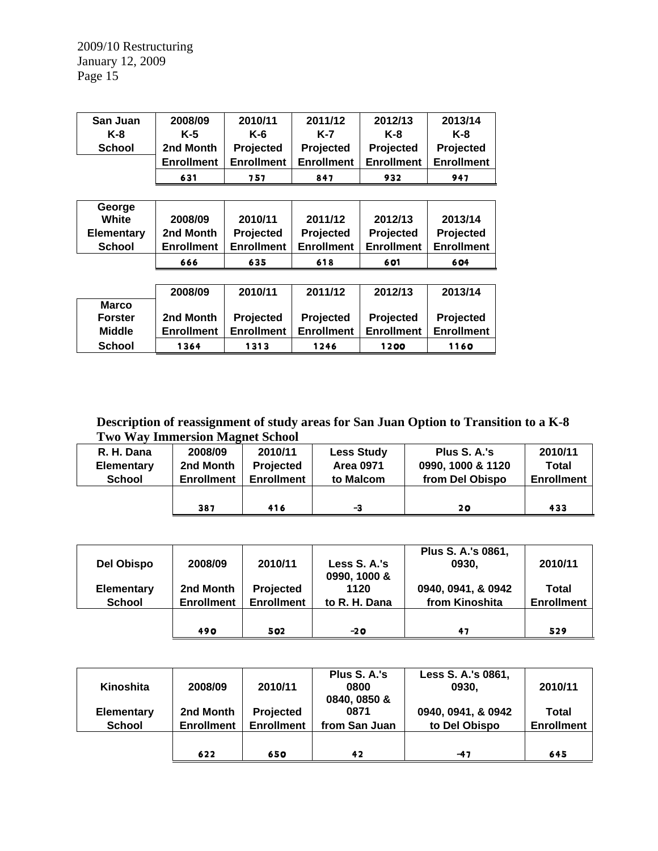| San Juan      | 2008/09           | 2010/11           | 2011/12           | 2012/13           | 2013/14           |
|---------------|-------------------|-------------------|-------------------|-------------------|-------------------|
| K-8           | K-5               | $K-6$             | K-7               | $K-8$             | K-8               |
| <b>School</b> | 2nd Month         | Projected         | Projected         | Projected         | Projected         |
|               | <b>Enrollment</b> | <b>Enrollment</b> | <b>Enrollment</b> | <b>Enrollment</b> | <b>Enrollment</b> |
|               | 631               | 757               | 847               | 932               | 947               |

| George<br>White   | 2008/09           | 2010/11           | 2011/12           | 2012/13           | 2013/14           |
|-------------------|-------------------|-------------------|-------------------|-------------------|-------------------|
|                   |                   |                   |                   |                   |                   |
| <b>Elementary</b> | 2nd Month         | Projected         | Projected         | Projected         | Projected         |
| <b>School</b>     | <b>Enrollment</b> | <b>Enrollment</b> | <b>Enrollment</b> | <b>Enrollment</b> | <b>Enrollment</b> |
|                   | 666               | 635               | 618               | 601               | 604               |
|                   |                   |                   |                   |                   |                   |
|                   | 2008/09           | 2010/11           | 2011/12           | 2012/13           | 2013/14           |
| <b>Marco</b>      |                   |                   |                   |                   |                   |
| <b>Forster</b>    | 2nd Month         | Projected         | Projected         | Projected         | Projected         |
|                   |                   |                   |                   |                   |                   |
| <b>Middle</b>     | <b>Enrollment</b> | <b>Enrollment</b> | <b>Enrollment</b> | <b>Enrollment</b> | <b>Enrollment</b> |

**Description of reassignment of study areas for San Juan Option to Transition to a K-8 Two Way Immersion Magnet School** 

| R. H. Dana        | 2008/09           | 2010/11           | <b>Less Study</b> | Plus S. A.'s      | 2010/11           |
|-------------------|-------------------|-------------------|-------------------|-------------------|-------------------|
| <b>Elementary</b> | 2nd Month         | Projected         | <b>Area 0971</b>  | 0990, 1000 & 1120 | Total             |
| <b>School</b>     | <b>Enrollment</b> | <b>Enrollment</b> | to Malcom         | from Del Obispo   | <b>Enrollment</b> |
|                   |                   |                   |                   |                   |                   |
|                   | 387               | 416               | -3                | 20                | 433               |

| Del Obispo        | 2008/09           | 2010/11           | Less S. A.'s<br>0990, 1000 & | Plus S. A.'s 0861,<br>0930, | 2010/11           |
|-------------------|-------------------|-------------------|------------------------------|-----------------------------|-------------------|
| <b>Elementary</b> | 2nd Month         | <b>Projected</b>  | 1120                         | 0940, 0941, & 0942          | Total             |
| <b>School</b>     | <b>Enrollment</b> | <b>Enrollment</b> | to R. H. Dana                | from Kinoshita              | <b>Enrollment</b> |
|                   |                   |                   |                              |                             |                   |
|                   | <b>490</b>        | 502               | $-20$                        | 47                          | 529               |

|                   |                   |                   | Plus S. A.'s  | Less S. A.'s 0861, |                   |
|-------------------|-------------------|-------------------|---------------|--------------------|-------------------|
| Kinoshita         | 2008/09           | 2010/11           | 0800          | 0930,              | 2010/11           |
|                   |                   |                   | 0840, 0850 &  |                    |                   |
| <b>Elementary</b> | 2nd Month         | <b>Projected</b>  | 0871          | 0940, 0941, & 0942 | Total             |
| <b>School</b>     | <b>Enrollment</b> | <b>Enrollment</b> | from San Juan | to Del Obispo      | <b>Enrollment</b> |
|                   |                   |                   |               |                    |                   |
|                   | 622               | 650               | 42            | $-47$              | 645               |
|                   |                   |                   |               |                    |                   |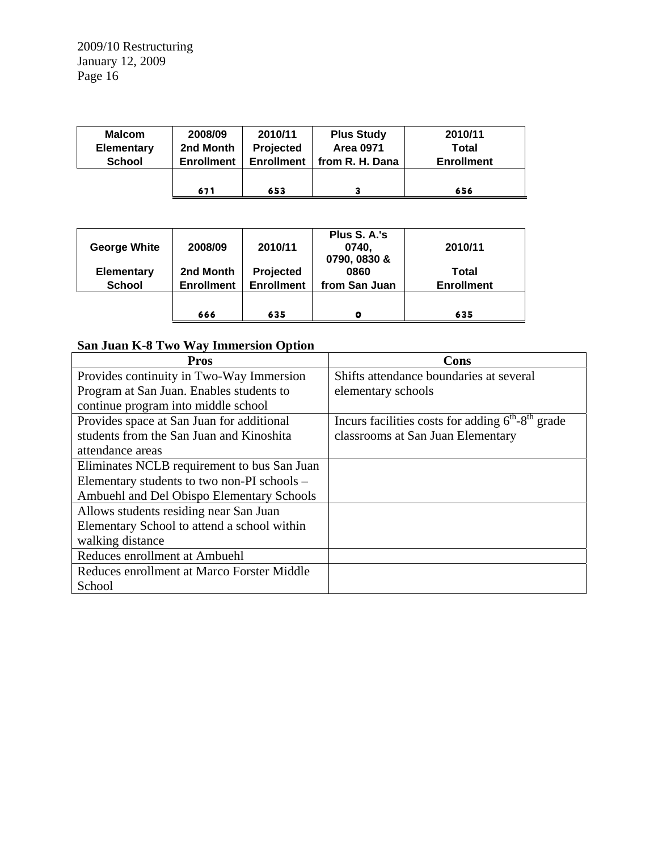| <b>Malcom</b><br><b>Elementary</b> | 2008/09<br>2nd Month | 2010/11<br>Projected | <b>Plus Study</b><br><b>Area 0971</b> | 2010/11<br>Total  |
|------------------------------------|----------------------|----------------------|---------------------------------------|-------------------|
| <b>School</b>                      | <b>Enrollment</b>    | <b>Enrollment</b>    | from R. H. Dana                       | <b>Enrollment</b> |
|                                    |                      |                      |                                       |                   |
|                                    | 671                  | 653                  |                                       | 656               |

|                     | 666               | 635               | O             | 635               |  |
|---------------------|-------------------|-------------------|---------------|-------------------|--|
|                     |                   |                   |               |                   |  |
| <b>School</b>       | <b>Enrollment</b> | <b>Enrollment</b> | from San Juan | <b>Enrollment</b> |  |
| <b>Elementary</b>   | 2nd Month         | Projected         | 0860          | Total             |  |
|                     |                   |                   | 0790, 0830 &  |                   |  |
| <b>George White</b> | 2008/09           | 2010/11           | 0740.         | 2010/11           |  |
|                     |                   |                   | Plus S. A.'s  |                   |  |

# **San Juan K-8 Two Way Immersion Option**

| <b>Pros</b>                                 | Cons                                                         |
|---------------------------------------------|--------------------------------------------------------------|
| Provides continuity in Two-Way Immersion    | Shifts attendance boundaries at several                      |
| Program at San Juan. Enables students to    | elementary schools                                           |
| continue program into middle school         |                                                              |
| Provides space at San Juan for additional   | Incurs facilities costs for adding $6^{th}$ - $8^{th}$ grade |
| students from the San Juan and Kinoshita    | classrooms at San Juan Elementary                            |
| attendance areas                            |                                                              |
| Eliminates NCLB requirement to bus San Juan |                                                              |
| Elementary students to two non-PI schools – |                                                              |
| Ambuehl and Del Obispo Elementary Schools   |                                                              |
| Allows students residing near San Juan      |                                                              |
| Elementary School to attend a school within |                                                              |
| walking distance                            |                                                              |
| Reduces enrollment at Ambuehl               |                                                              |
| Reduces enrollment at Marco Forster Middle  |                                                              |
| School                                      |                                                              |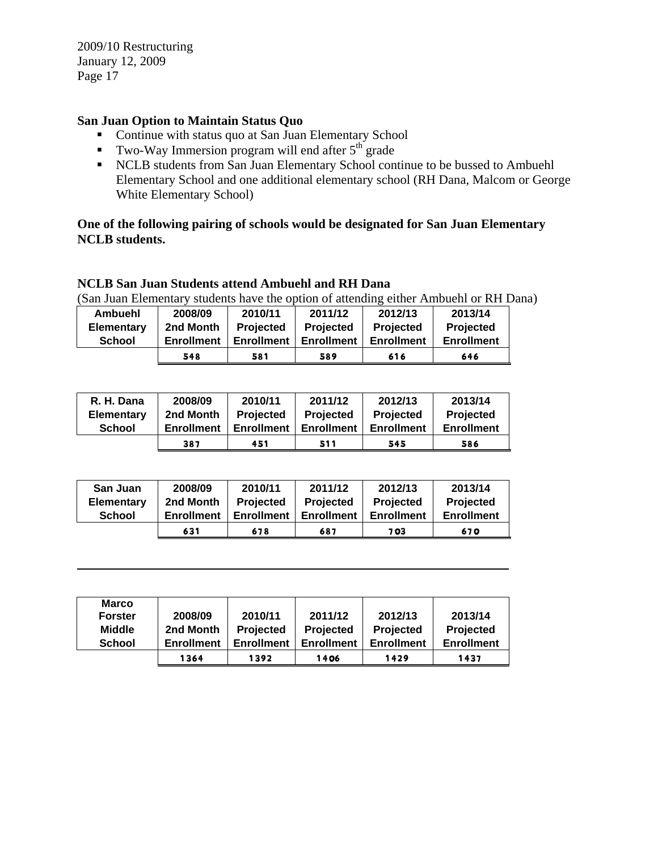# **San Juan Option to Maintain Status Quo**

- Continue with status quo at San Juan Elementary School
- Two-Way Immersion program will end after  $5<sup>th</sup>$  grade
- NCLB students from San Juan Elementary School continue to be bussed to Ambuehl Elementary School and one additional elementary school (RH Dana, Malcom or George White Elementary School)

## **One of the following pairing of schools would be designated for San Juan Elementary NCLB students.**

## **NCLB San Juan Students attend Ambuehl and RH Dana**

(San Juan Elementary students have the option of attending either Ambuehl or RH Dana)

| Ambuehl           | 2008/09           | 2010/11           | 2011/12           | 2012/13           | 2013/14           |
|-------------------|-------------------|-------------------|-------------------|-------------------|-------------------|
| <b>Elementary</b> | 2nd Month         | <b>Projected</b>  | <b>Projected</b>  | <b>Projected</b>  | <b>Projected</b>  |
| <b>School</b>     | <b>Enrollment</b> | <b>Enrollment</b> | <b>Enrollment</b> | <b>Enrollment</b> | <b>Enrollment</b> |
|                   | 548               | 581               | 589               | 616               | 646               |

| R. H. Dana        | 2008/09           | 2010/11           | 2011/12           | 2012/13           | 2013/14           |
|-------------------|-------------------|-------------------|-------------------|-------------------|-------------------|
| <b>Elementary</b> | 2nd Month         | <b>Projected</b>  | <b>Projected</b>  | <b>Projected</b>  | <b>Projected</b>  |
| <b>School</b>     | <b>Enrollment</b> | <b>Enrollment</b> | <b>Enrollment</b> | <b>Enrollment</b> | <b>Enrollment</b> |
|                   | 387               | 451               | 511               | 545               | 586               |

| San Juan          | 2008/09           | 2010/11           | 2011/12           | 2012/13           | 2013/14           |
|-------------------|-------------------|-------------------|-------------------|-------------------|-------------------|
| <b>Elementary</b> | 2nd Month         | <b>Projected</b>  | <b>Projected</b>  | <b>Projected</b>  | Projected         |
| <b>School</b>     | <b>Enrollment</b> | <b>Enrollment</b> | <b>Enrollment</b> | <b>Enrollment</b> | <b>Enrollment</b> |
|                   | 631               | 678               | 687               | 7 03              | 670               |

| <b>Marco</b><br><b>Forster</b><br><b>Middle</b><br><b>School</b> | 2008/09<br>2nd Month<br><b>Enrollment</b> | 2010/11<br>Projected<br><b>Enrollment</b> | 2011/12<br><b>Projected</b><br><b>Enrollment</b> | 2012/13<br><b>Projected</b><br><b>Enrollment</b> | 2013/14<br>Projected<br><b>Enrollment</b> |
|------------------------------------------------------------------|-------------------------------------------|-------------------------------------------|--------------------------------------------------|--------------------------------------------------|-------------------------------------------|
|                                                                  | 1364                                      | 1392                                      | 1406                                             | 1429                                             | 1437                                      |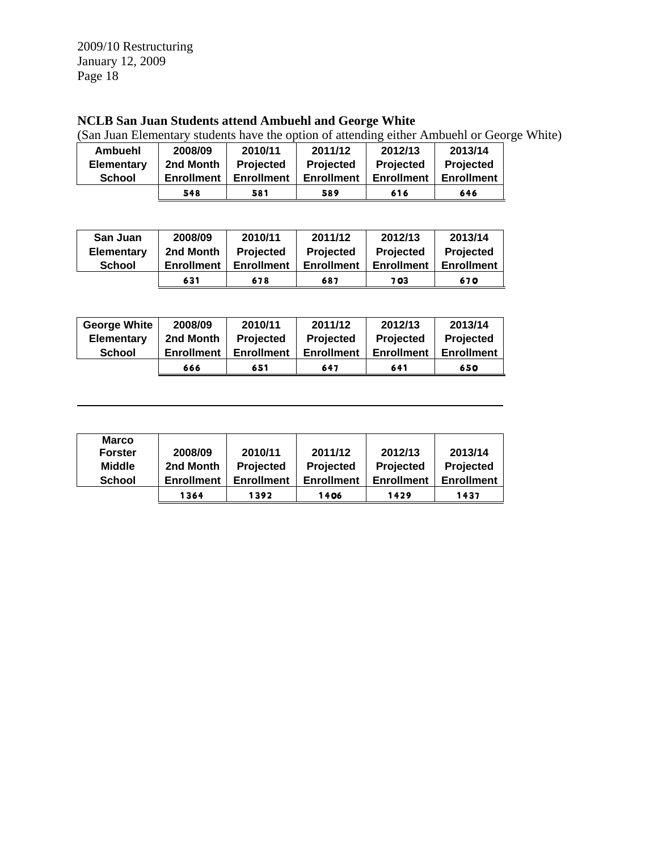# **NCLB San Juan Students attend Ambuehl and George White**

(San Juan Elementary students have the option of attending either Ambuehl or George White)

| <b>Ambuehl</b>    | 2008/09           | 2010/11           | 2011/12           | 2012/13           | 2013/14           |
|-------------------|-------------------|-------------------|-------------------|-------------------|-------------------|
| <b>Elementary</b> | 2nd Month         | <b>Projected</b>  | Projected         | <b>Projected</b>  | Projected         |
| <b>School</b>     | <b>Enrollment</b> | <b>Enrollment</b> | <b>Enrollment</b> | <b>Enrollment</b> | <b>Enrollment</b> |
|                   | 548               | 581               | 589               | 616               | 646               |

| San Juan          | 2008/09           | 2010/11           | 2011/12    | 2012/13           | 2013/14           |
|-------------------|-------------------|-------------------|------------|-------------------|-------------------|
| <b>Elementary</b> | 2nd Month         | <b>Projected</b>  | Projected  | Projected         | Projected         |
| <b>School</b>     | <b>Enrollment</b> | <b>Enrollment</b> | Enrollment | <b>Enrollment</b> | <b>Enrollment</b> |
|                   | 631               | 678               | 687        | 7 03              | 670               |

| <b>George White</b> | 2008/09           | 2010/11           | 2011/12           | 2012/13           | 2013/14           |
|---------------------|-------------------|-------------------|-------------------|-------------------|-------------------|
| <b>Elementary</b>   | 2nd Month         | <b>Projected</b>  | <b>Projected</b>  | <b>Projected</b>  | Projected         |
| <b>School</b>       | <b>Enrollment</b> | <b>Enrollment</b> | <b>Enrollment</b> | <b>Enrollment</b> | <b>Enrollment</b> |
|                     | 666               | 651               | 647               | 641               | 650               |

| <b>Marco</b><br><b>Forster</b><br><b>Middle</b><br><b>School</b> | 2008/09<br>2nd Month<br><b>Enrollment</b> | 2010/11<br>Projected<br><b>Enrollment</b> | 2011/12<br>Projected<br><b>Enrollment</b> | 2012/13<br>Projected<br><b>Enrollment</b> | 2013/14<br>Projected<br><b>Enrollment</b> |
|------------------------------------------------------------------|-------------------------------------------|-------------------------------------------|-------------------------------------------|-------------------------------------------|-------------------------------------------|
|                                                                  | 1364                                      | 1392                                      | 1406                                      | 1429                                      | 1437                                      |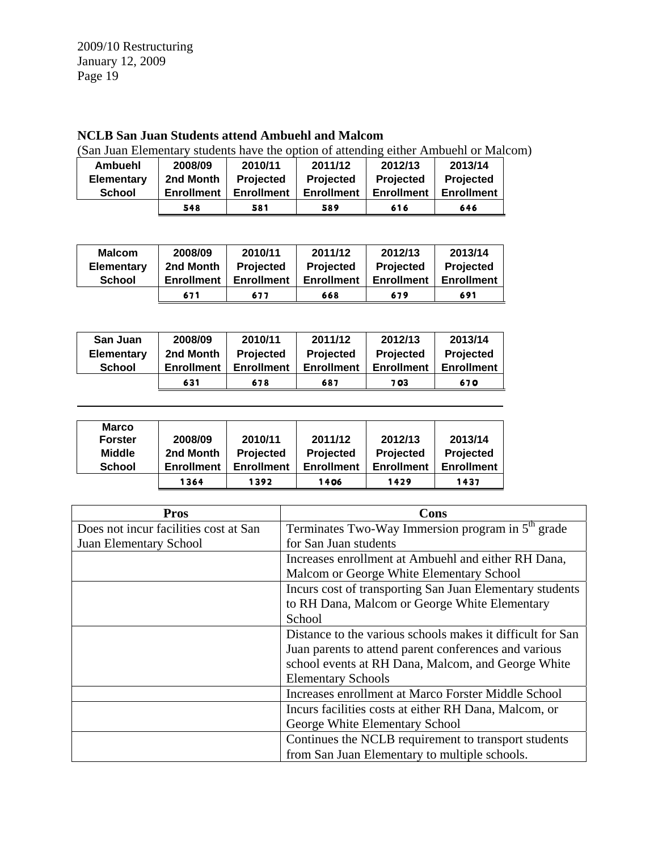# **NCLB San Juan Students attend Ambuehl and Malcom**

(San Juan Elementary students have the option of attending either Ambuehl or Malcom)

| Ambuehl           | 2008/09           | 2010/11           | 2011/12           | 2012/13           | 2013/14           |
|-------------------|-------------------|-------------------|-------------------|-------------------|-------------------|
| <b>Elementary</b> | 2nd Month         | Projected         | Projected         | Projected         | Projected         |
| <b>School</b>     | <b>Enrollment</b> | <b>Enrollment</b> | <b>Enrollment</b> | <b>Enrollment</b> | <b>Enrollment</b> |
|                   | 548               | 581               | 589               | 616               | 646               |

| <b>Malcom</b>     | 2008/09           | 2010/11           | 2011/12           | 2012/13           | 2013/14           |
|-------------------|-------------------|-------------------|-------------------|-------------------|-------------------|
| <b>Elementary</b> | 2nd Month         | <b>Projected</b>  | <b>Projected</b>  | Projected         | Projected         |
| School            | <b>Enrollment</b> | <b>Enrollment</b> | <b>Enrollment</b> | <b>Enrollment</b> | <b>Enrollment</b> |
|                   | 671               | 677               | 668               | 679               | 691               |

| San Juan          | 2008/09           | 2010/11           | 2011/12           | 2012/13           | 2013/14           |
|-------------------|-------------------|-------------------|-------------------|-------------------|-------------------|
| <b>Elementary</b> | 2nd Month         | Projected         | Projected         | Projected         | Projected         |
| <b>School</b>     | <b>Enrollment</b> | <b>Enrollment</b> | <b>Enrollment</b> | <b>Enrollment</b> | <b>Enrollment</b> |
|                   | 631               | 678               | 687               | 7 03              | 670               |

| <b>Marco</b><br><b>Forster</b><br><b>Middle</b><br><b>School</b> | 2008/09<br>2nd Month<br><b>Enrollment</b> | 2010/11<br>Projected<br><b>Enrollment</b> | 2011/12<br>Projected<br><b>Enrollment</b> | 2012/13<br>Projected<br><b>Enrollment</b> | 2013/14<br>Projected<br><b>Enrollment</b> |
|------------------------------------------------------------------|-------------------------------------------|-------------------------------------------|-------------------------------------------|-------------------------------------------|-------------------------------------------|
|                                                                  | 1364                                      | 1392                                      | 1406                                      | 1429                                      | 1437                                      |

| <b>Pros</b>                           | Cons                                                          |
|---------------------------------------|---------------------------------------------------------------|
| Does not incur facilities cost at San | Terminates Two-Way Immersion program in 5 <sup>th</sup> grade |
| Juan Elementary School                | for San Juan students                                         |
|                                       | Increases enrollment at Ambuehl and either RH Dana,           |
|                                       | Malcom or George White Elementary School                      |
|                                       | Incurs cost of transporting San Juan Elementary students      |
|                                       | to RH Dana, Malcom or George White Elementary                 |
|                                       | School                                                        |
|                                       | Distance to the various schools makes it difficult for San    |
|                                       | Juan parents to attend parent conferences and various         |
|                                       | school events at RH Dana, Malcom, and George White            |
|                                       | <b>Elementary Schools</b>                                     |
|                                       | Increases enrollment at Marco Forster Middle School           |
|                                       | Incurs facilities costs at either RH Dana, Malcom, or         |
|                                       | George White Elementary School                                |
|                                       | Continues the NCLB requirement to transport students          |
|                                       | from San Juan Elementary to multiple schools.                 |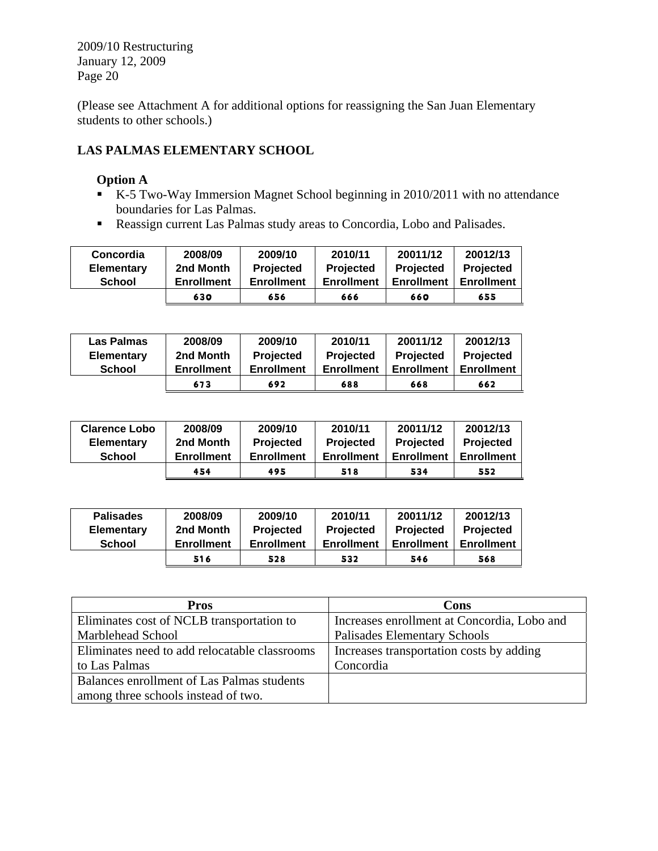(Please see Attachment A for additional options for reassigning the San Juan Elementary students to other schools.)

# **LAS PALMAS ELEMENTARY SCHOOL**

## **Option A**

- K-5 Two-Way Immersion Magnet School beginning in 2010/2011 with no attendance boundaries for Las Palmas.
- Reassign current Las Palmas study areas to Concordia, Lobo and Palisades.

| Concordia         | 2008/09           | 2009/10           | 2010/11           | 20011/12          | 20012/13          |
|-------------------|-------------------|-------------------|-------------------|-------------------|-------------------|
| <b>Elementary</b> | 2nd Month         | <b>Projected</b>  | <b>Projected</b>  | <b>Projected</b>  | <b>Projected</b>  |
| <b>School</b>     | <b>Enrollment</b> | <b>Enrollment</b> | <b>Enrollment</b> | <b>Enrollment</b> | <b>Enrollment</b> |
|                   | 630               | 656               | 666               | 660               | 655               |

| Las Palmas    | 2008/09           | 2009/10           | 2010/11           | 20011/12          | 20012/13          |
|---------------|-------------------|-------------------|-------------------|-------------------|-------------------|
| Elementary    | 2nd Month         | <b>Projected</b>  | <b>Projected</b>  | Projected         | Projected         |
| <b>School</b> | <b>Enrollment</b> | <b>Enrollment</b> | <b>Enrollment</b> | <b>Enrollment</b> | <b>Enrollment</b> |
|               | 673               | 692               | 688               | 668               | 662               |

| <b>Clarence Lobo</b> | 2008/09           | 2009/10           | 2010/11           | 20011/12          | 20012/13          |
|----------------------|-------------------|-------------------|-------------------|-------------------|-------------------|
| <b>Elementary</b>    | 2nd Month         | <b>Projected</b>  | <b>Projected</b>  | <b>Projected</b>  | <b>Projected</b>  |
| <b>School</b>        | <b>Enrollment</b> | <b>Enrollment</b> | <b>Enrollment</b> | <b>Enrollment</b> | <b>Enrollment</b> |
|                      | 454               | 495               | 518               | 534               | 552               |

| <b>Palisades</b> | 2008/09           | 2009/10           | 2010/11           | 20011/12          | 20012/13          |
|------------------|-------------------|-------------------|-------------------|-------------------|-------------------|
| Elementary       | 2nd Month         | Projected         | Projected         | <b>Projected</b>  | Projected         |
| <b>School</b>    | <b>Enrollment</b> | <b>Enrollment</b> | <b>Enrollment</b> | <b>Enrollment</b> | <b>Enrollment</b> |
|                  | 516               | 528               | 532               | 546               | 568               |

| Pros                                          | Cons                                        |
|-----------------------------------------------|---------------------------------------------|
| Eliminates cost of NCLB transportation to     | Increases enrollment at Concordia, Lobo and |
| Marblehead School                             | <b>Palisades Elementary Schools</b>         |
| Eliminates need to add relocatable classrooms | Increases transportation costs by adding    |
| to Las Palmas                                 | Concordia                                   |
| Balances enrollment of Las Palmas students    |                                             |
| among three schools instead of two.           |                                             |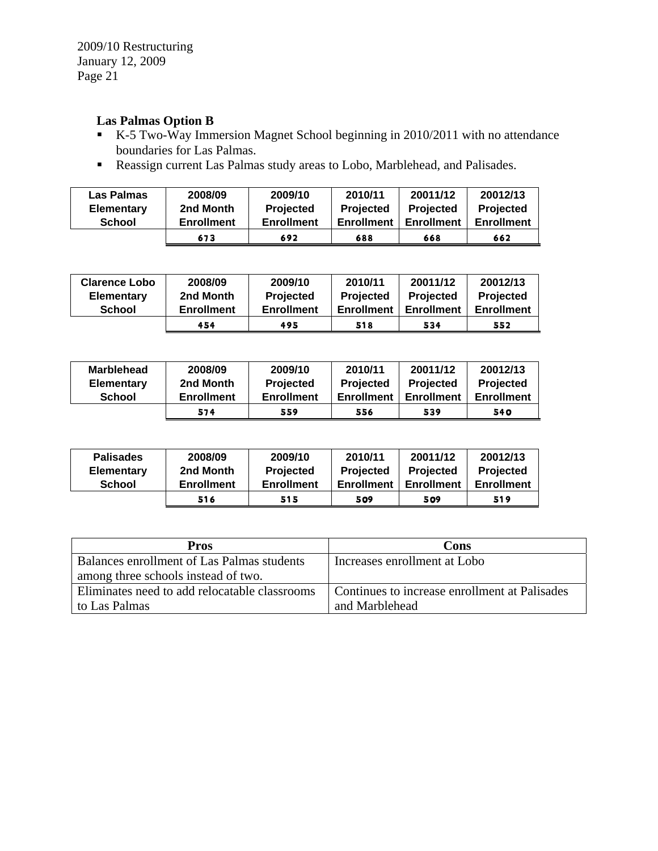# **Las Palmas Option B**

- K-5 Two-Way Immersion Magnet School beginning in 2010/2011 with no attendance boundaries for Las Palmas.
- Reassign current Las Palmas study areas to Lobo, Marblehead, and Palisades.

| Las Palmas        | 2008/09           | 2009/10           | 2010/11           | 20011/12          | 20012/13          |
|-------------------|-------------------|-------------------|-------------------|-------------------|-------------------|
| <b>Elementary</b> | 2nd Month         | <b>Projected</b>  | <b>Projected</b>  | Projected         | <b>Projected</b>  |
| <b>School</b>     | <b>Enrollment</b> | <b>Enrollment</b> | <b>Enrollment</b> | <b>Enrollment</b> | <b>Enrollment</b> |
|                   | 673               | 692               | 688               | 668               | 662               |

| <b>Clarence Lobo</b> | 2008/09           | 2009/10           | 2010/11           | 20011/12          | 20012/13          |
|----------------------|-------------------|-------------------|-------------------|-------------------|-------------------|
| <b>Elementary</b>    | 2nd Month         | <b>Projected</b>  | <b>Projected</b>  | Projected         | <b>Projected</b>  |
| <b>School</b>        | <b>Enrollment</b> | <b>Enrollment</b> | <b>Enrollment</b> | <b>Enrollment</b> | <b>Enrollment</b> |
|                      | 454               | 495               | 518               | 534               | 552               |

| <b>Marblehead</b> | 2008/09           | 2009/10           | 2010/11           | 20011/12          | 20012/13          |
|-------------------|-------------------|-------------------|-------------------|-------------------|-------------------|
| <b>Elementary</b> | 2nd Month         | <b>Projected</b>  | <b>Projected</b>  | <b>Projected</b>  | Projected         |
| <b>School</b>     | <b>Enrollment</b> | <b>Enrollment</b> | <b>Enrollment</b> | <b>Enrollment</b> | <b>Enrollment</b> |
|                   | 574               | 559               | 556               | 539               | 540               |

| <b>Palisades</b> | 2008/09           | 2009/10           | 2010/11           | 20011/12          | 20012/13          |
|------------------|-------------------|-------------------|-------------------|-------------------|-------------------|
| Elementary       | 2nd Month         | <b>Projected</b>  | <b>Projected</b>  | <b>Projected</b>  | <b>Projected</b>  |
| <b>School</b>    | <b>Enrollment</b> | <b>Enrollment</b> | <b>Enrollment</b> | <b>Enrollment</b> | <b>Enrollment</b> |
|                  | 516               | 515               | 509               | 509               | 519               |

| <b>Pros</b>                                   | Cons                                          |
|-----------------------------------------------|-----------------------------------------------|
| Balances enrollment of Las Palmas students    | Increases enrollment at Lobo                  |
| among three schools instead of two.           |                                               |
| Eliminates need to add relocatable classrooms | Continues to increase enrollment at Palisades |
| to Las Palmas                                 | and Marblehead                                |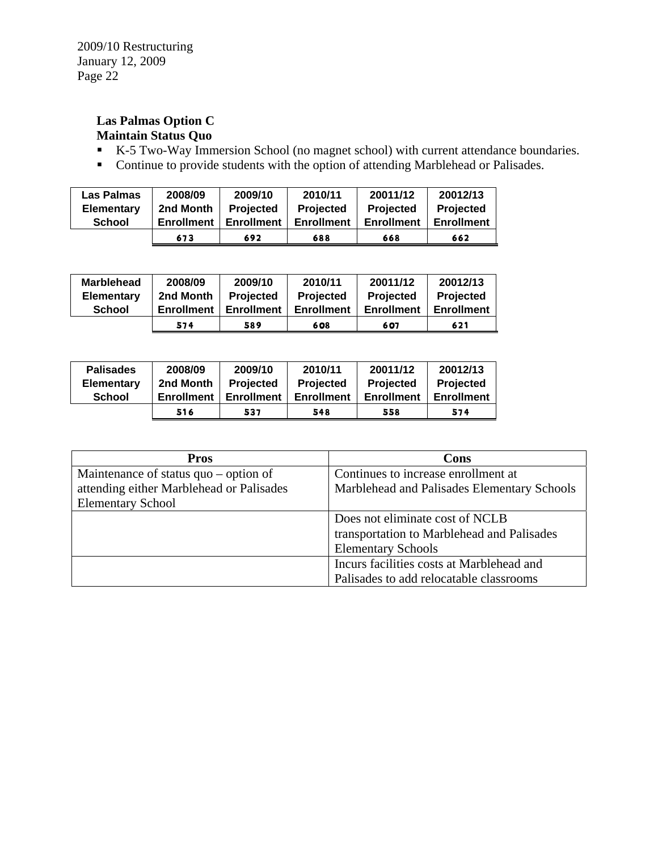# **Las Palmas Option C Maintain Status Quo**

- K-5 Two-Way Immersion School (no magnet school) with current attendance boundaries.
- Continue to provide students with the option of attending Marblehead or Palisades.

| Las Palmas        | 2008/09    | 2009/10           | 2010/11           | 20011/12          | 20012/13          |
|-------------------|------------|-------------------|-------------------|-------------------|-------------------|
| <b>Elementary</b> | 2nd Month  | <b>Projected</b>  | <b>Projected</b>  | <b>Projected</b>  | <b>Projected</b>  |
| <b>School</b>     | Enrollment | <b>Enrollment</b> | <b>Enrollment</b> | <b>Enrollment</b> | <b>Enrollment</b> |
|                   | 673        | 692               | 688               | 668               | 662               |

| <b>Marblehead</b> | 2008/09           | 2009/10           | 2010/11           | 20011/12          | 20012/13          |
|-------------------|-------------------|-------------------|-------------------|-------------------|-------------------|
| <b>Elementary</b> | 2nd Month         | <b>Projected</b>  | <b>Projected</b>  | <b>Projected</b>  | <b>Projected</b>  |
| <b>School</b>     | <b>Enrollment</b> | <b>Enrollment</b> | <b>Enrollment</b> | <b>Enrollment</b> | <b>Enrollment</b> |
|                   | 574               | 589               | 608               | 607               | 621               |

| <b>Palisades</b>  | 2008/09           | 2009/10           | 2010/11           | 20011/12          | 20012/13          |
|-------------------|-------------------|-------------------|-------------------|-------------------|-------------------|
| <b>Elementary</b> | 2nd Month         | <b>Projected</b>  | <b>Projected</b>  | <b>Projected</b>  | <b>Projected</b>  |
| <b>School</b>     | <b>Enrollment</b> | <b>Enrollment</b> | <b>Enrollment</b> | <b>Enrollment</b> | <b>Enrollment</b> |
|                   | 516               | 537               | 548               | 558               | 574               |

| <b>Pros</b>                                       | Cons                                        |
|---------------------------------------------------|---------------------------------------------|
| Maintenance of status $\mathbf{q}$ uo – option of | Continues to increase enrollment at         |
| attending either Marblehead or Palisades          | Marblehead and Palisades Elementary Schools |
| <b>Elementary School</b>                          |                                             |
|                                                   | Does not eliminate cost of NCLB             |
|                                                   | transportation to Marblehead and Palisades  |
|                                                   | <b>Elementary Schools</b>                   |
|                                                   | Incurs facilities costs at Marblehead and   |
|                                                   | Palisades to add relocatable classrooms     |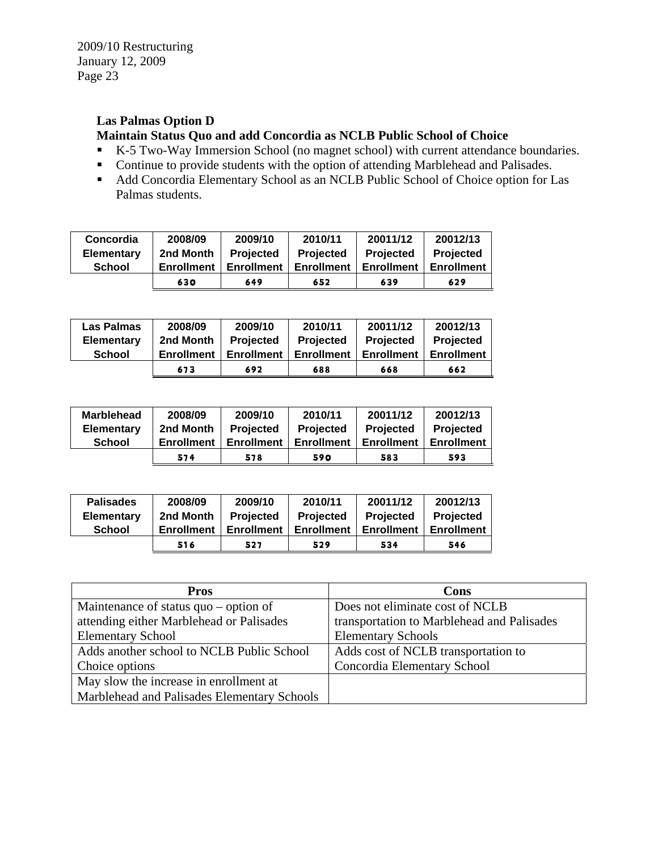# **Las Palmas Option D**

## **Maintain Status Quo and add Concordia as NCLB Public School of Choice**

- K-5 Two-Way Immersion School (no magnet school) with current attendance boundaries.
- Continue to provide students with the option of attending Marblehead and Palisades.
- Add Concordia Elementary School as an NCLB Public School of Choice option for Las Palmas students.

| Concordia         | 2008/09           | 2009/10           | 2010/11           | 20011/12          | 20012/13          |
|-------------------|-------------------|-------------------|-------------------|-------------------|-------------------|
| <b>Elementary</b> | 2nd Month         | <b>Projected</b>  | <b>Projected</b>  | <b>Projected</b>  | <b>Projected</b>  |
| <b>School</b>     | <b>Enrollment</b> | <b>Enrollment</b> | <b>Enrollment</b> | <b>Enrollment</b> | <b>Enrollment</b> |
|                   | 630               | 649               | 652               | 639               | 629               |

| Las Palmas        | 2008/09           | 2009/10           | 2010/11           | 20011/12          | 20012/13          |
|-------------------|-------------------|-------------------|-------------------|-------------------|-------------------|
| <b>Elementary</b> | 2nd Month         | Projected         | <b>Projected</b>  | Projected         | Projected         |
| <b>School</b>     | <b>Enrollment</b> | <b>Enrollment</b> | <b>Enrollment</b> | <b>Enrollment</b> | <b>Enrollment</b> |
|                   | 673               | 692               | 688               | 668               | 662               |

| <b>Marblehead</b> | 2008/09    | 2009/10           | 2010/11    | 20011/12          | 20012/13          |
|-------------------|------------|-------------------|------------|-------------------|-------------------|
| <b>Elementary</b> | 2nd Month  | Projected         | Projected  | <b>Projected</b>  | Projected         |
| <b>School</b>     | Enrollment | <b>Enrollment</b> | Enrollment | <b>Enrollment</b> | <b>Enrollment</b> |
|                   | 574        | 578               | 590        | 583               | 593               |

| <b>Palisades</b>  | 2008/09           | 2009/10           | 2010/11           | 20011/12          | 20012/13          |
|-------------------|-------------------|-------------------|-------------------|-------------------|-------------------|
| <b>Elementary</b> | 2nd Month         | <b>Projected</b>  | Projected         | <b>Projected</b>  | Projected         |
| <b>School</b>     | <b>Enrollment</b> | <b>Enrollment</b> | <b>Enrollment</b> | <b>Enrollment</b> | <b>Enrollment</b> |
|                   | 516               | 527               | 529               | 534               | 546               |

| <b>Pros</b>                                 | Cons                                       |
|---------------------------------------------|--------------------------------------------|
| Maintenance of status $quo - option$ of     | Does not eliminate cost of NCLB            |
| attending either Marblehead or Palisades    | transportation to Marblehead and Palisades |
| <b>Elementary School</b>                    | <b>Elementary Schools</b>                  |
| Adds another school to NCLB Public School   | Adds cost of NCLB transportation to        |
| Choice options                              | Concordia Elementary School                |
| May slow the increase in enrollment at      |                                            |
| Marblehead and Palisades Elementary Schools |                                            |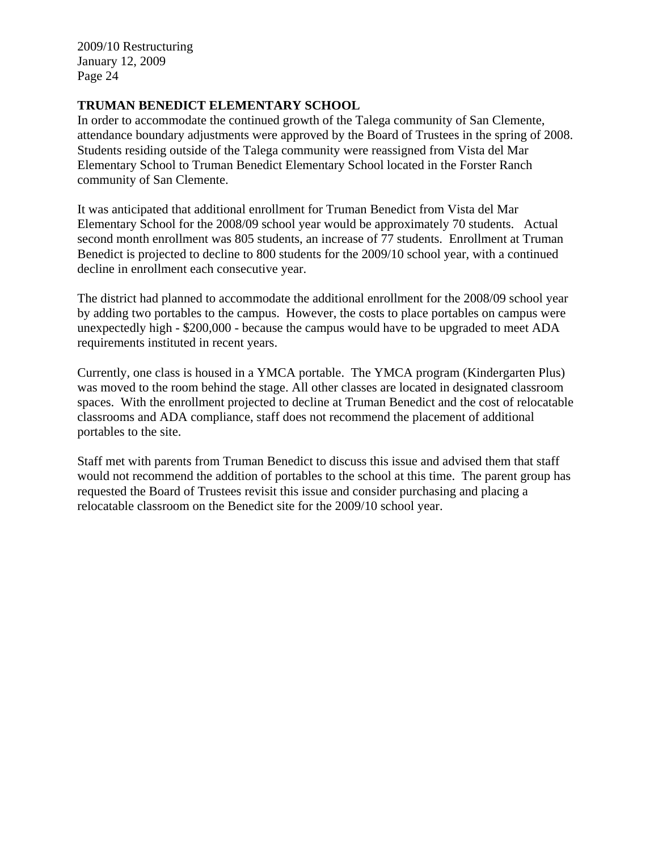## **TRUMAN BENEDICT ELEMENTARY SCHOOL**

In order to accommodate the continued growth of the Talega community of San Clemente, attendance boundary adjustments were approved by the Board of Trustees in the spring of 2008. Students residing outside of the Talega community were reassigned from Vista del Mar Elementary School to Truman Benedict Elementary School located in the Forster Ranch community of San Clemente.

It was anticipated that additional enrollment for Truman Benedict from Vista del Mar Elementary School for the 2008/09 school year would be approximately 70 students. Actual second month enrollment was 805 students, an increase of 77 students. Enrollment at Truman Benedict is projected to decline to 800 students for the 2009/10 school year, with a continued decline in enrollment each consecutive year.

The district had planned to accommodate the additional enrollment for the 2008/09 school year by adding two portables to the campus. However, the costs to place portables on campus were unexpectedly high - \$200,000 - because the campus would have to be upgraded to meet ADA requirements instituted in recent years.

Currently, one class is housed in a YMCA portable. The YMCA program (Kindergarten Plus) was moved to the room behind the stage. All other classes are located in designated classroom spaces. With the enrollment projected to decline at Truman Benedict and the cost of relocatable classrooms and ADA compliance, staff does not recommend the placement of additional portables to the site.

Staff met with parents from Truman Benedict to discuss this issue and advised them that staff would not recommend the addition of portables to the school at this time. The parent group has requested the Board of Trustees revisit this issue and consider purchasing and placing a relocatable classroom on the Benedict site for the 2009/10 school year.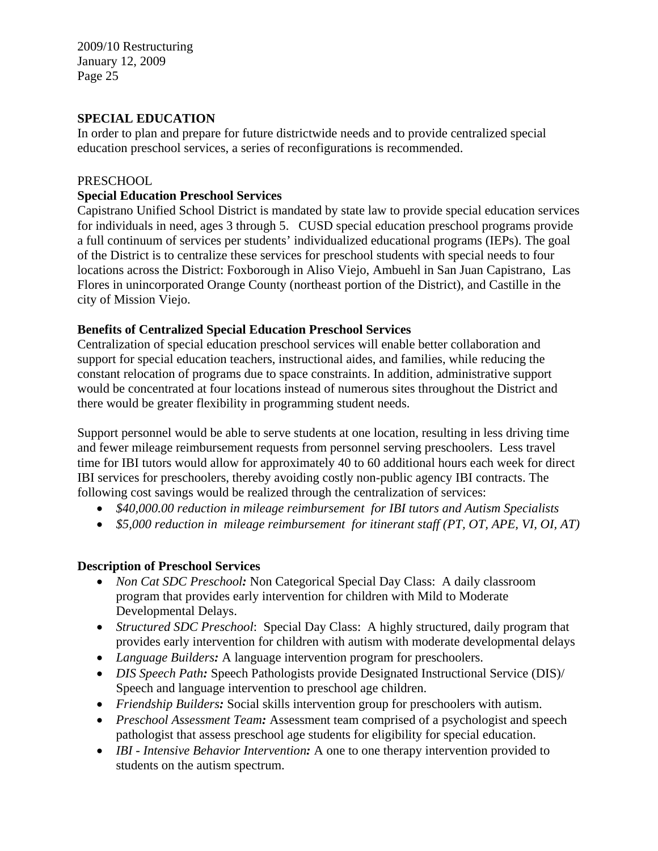# **SPECIAL EDUCATION**

In order to plan and prepare for future districtwide needs and to provide centralized special education preschool services, a series of reconfigurations is recommended.

#### PRESCHOOL

## **Special Education Preschool Services**

Capistrano Unified School District is mandated by state law to provide special education services for individuals in need, ages 3 through 5. CUSD special education preschool programs provide a full continuum of services per students' individualized educational programs (IEPs). The goal of the District is to centralize these services for preschool students with special needs to four locations across the District: Foxborough in Aliso Viejo, Ambuehl in San Juan Capistrano, Las Flores in unincorporated Orange County (northeast portion of the District), and Castille in the city of Mission Viejo.

## **Benefits of Centralized Special Education Preschool Services**

Centralization of special education preschool services will enable better collaboration and support for special education teachers, instructional aides, and families, while reducing the constant relocation of programs due to space constraints. In addition, administrative support would be concentrated at four locations instead of numerous sites throughout the District and there would be greater flexibility in programming student needs.

Support personnel would be able to serve students at one location, resulting in less driving time and fewer mileage reimbursement requests from personnel serving preschoolers. Less travel time for IBI tutors would allow for approximately 40 to 60 additional hours each week for direct IBI services for preschoolers, thereby avoiding costly non-public agency IBI contracts. The following cost savings would be realized through the centralization of services:

- *\$40,000.00 reduction in mileage reimbursement for IBI tutors and Autism Specialists*
- *\$5,000 reduction in mileage reimbursement for itinerant staff (PT, OT, APE, VI, OI, AT)*

## **Description of Preschool Services**

- *Non Cat SDC Preschool*: Non Categorical Special Day Class: A daily classroom program that provides early intervention for children with Mild to Moderate Developmental Delays.
- *Structured SDC Preschool*: Special Day Class: A highly structured, daily program that provides early intervention for children with autism with moderate developmental delays
- *Language Builders:* A language intervention program for preschoolers.
- *DIS Speech Path*: Speech Pathologists provide Designated Instructional Service (DIS)/ Speech and language intervention to preschool age children.
- *Friendship Builders:* Social skills intervention group for preschoolers with autism.
- *Preschool Assessment Team*: Assessment team comprised of a psychologist and speech pathologist that assess preschool age students for eligibility for special education.
- *IBI Intensive Behavior Intervention*: A one to one therapy intervention provided to students on the autism spectrum.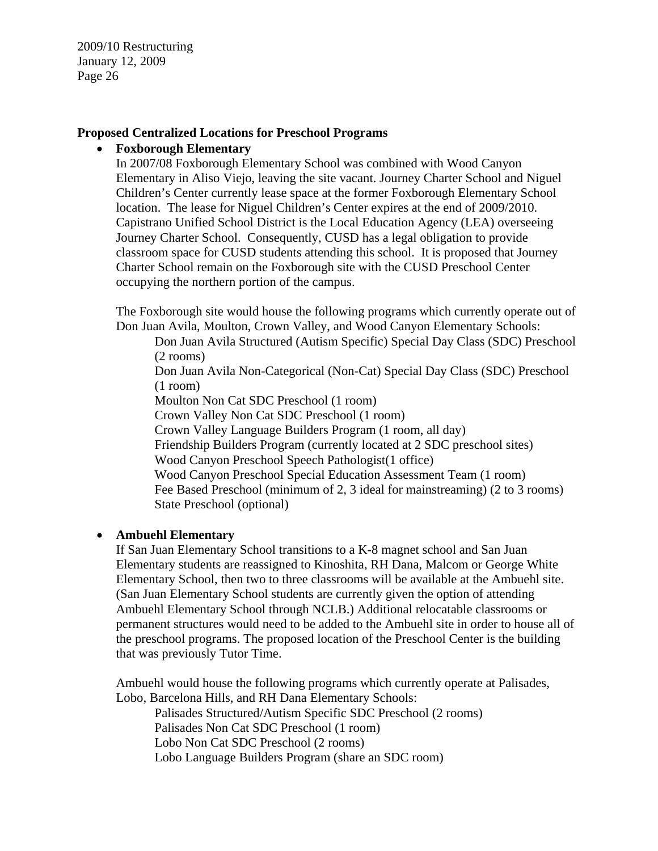#### **Proposed Centralized Locations for Preschool Programs**

#### • **Foxborough Elementary**

In 2007/08 Foxborough Elementary School was combined with Wood Canyon Elementary in Aliso Viejo, leaving the site vacant. Journey Charter School and Niguel Children's Center currently lease space at the former Foxborough Elementary School location. The lease for Niguel Children's Center expires at the end of 2009/2010. Capistrano Unified School District is the Local Education Agency (LEA) overseeing Journey Charter School. Consequently, CUSD has a legal obligation to provide classroom space for CUSD students attending this school. It is proposed that Journey Charter School remain on the Foxborough site with the CUSD Preschool Center occupying the northern portion of the campus.

The Foxborough site would house the following programs which currently operate out of Don Juan Avila, Moulton, Crown Valley, and Wood Canyon Elementary Schools:

Don Juan Avila Structured (Autism Specific) Special Day Class (SDC) Preschool (2 rooms)

Don Juan Avila Non-Categorical (Non-Cat) Special Day Class (SDC) Preschool (1 room)

Moulton Non Cat SDC Preschool (1 room)

Crown Valley Non Cat SDC Preschool (1 room)

Crown Valley Language Builders Program (1 room, all day)

Friendship Builders Program (currently located at 2 SDC preschool sites)

Wood Canyon Preschool Speech Pathologist(1 office)

Wood Canyon Preschool Special Education Assessment Team (1 room) Fee Based Preschool (minimum of 2, 3 ideal for mainstreaming) (2 to 3 rooms) State Preschool (optional)

## • **Ambuehl Elementary**

If San Juan Elementary School transitions to a K-8 magnet school and San Juan Elementary students are reassigned to Kinoshita, RH Dana, Malcom or George White Elementary School, then two to three classrooms will be available at the Ambuehl site. (San Juan Elementary School students are currently given the option of attending Ambuehl Elementary School through NCLB.) Additional relocatable classrooms or permanent structures would need to be added to the Ambuehl site in order to house all of the preschool programs. The proposed location of the Preschool Center is the building that was previously Tutor Time.

Ambuehl would house the following programs which currently operate at Palisades, Lobo, Barcelona Hills, and RH Dana Elementary Schools:

Palisades Structured/Autism Specific SDC Preschool (2 rooms) Palisades Non Cat SDC Preschool (1 room) Lobo Non Cat SDC Preschool (2 rooms) Lobo Language Builders Program (share an SDC room)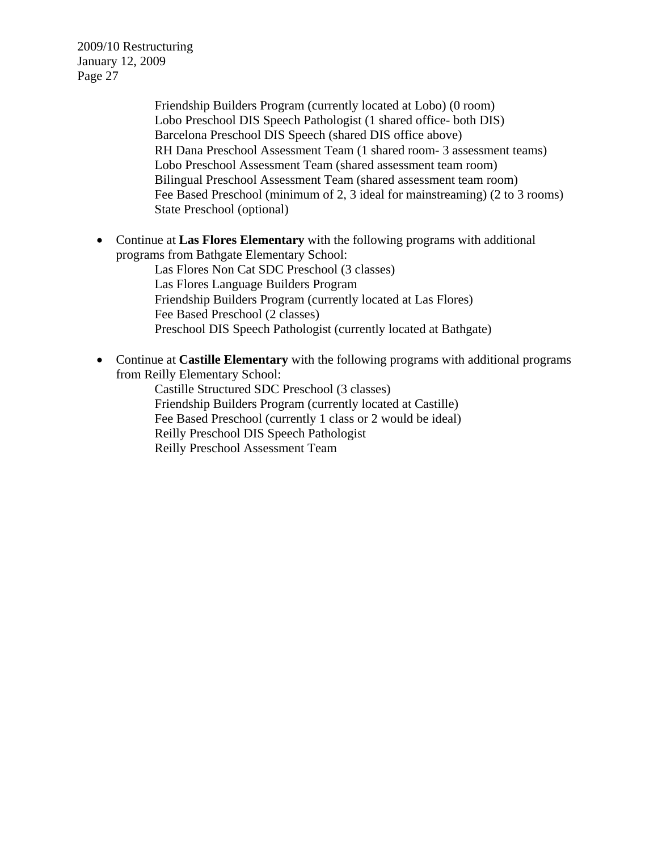> Friendship Builders Program (currently located at Lobo) (0 room) Lobo Preschool DIS Speech Pathologist (1 shared office- both DIS) Barcelona Preschool DIS Speech (shared DIS office above) RH Dana Preschool Assessment Team (1 shared room- 3 assessment teams) Lobo Preschool Assessment Team (shared assessment team room) Bilingual Preschool Assessment Team (shared assessment team room) Fee Based Preschool (minimum of 2, 3 ideal for mainstreaming) (2 to 3 rooms) State Preschool (optional)

• Continue at **Las Flores Elementary** with the following programs with additional programs from Bathgate Elementary School:

Las Flores Non Cat SDC Preschool (3 classes) Las Flores Language Builders Program Friendship Builders Program (currently located at Las Flores) Fee Based Preschool (2 classes) Preschool DIS Speech Pathologist (currently located at Bathgate)

• Continue at **Castille Elementary** with the following programs with additional programs from Reilly Elementary School:

Castille Structured SDC Preschool (3 classes) Friendship Builders Program (currently located at Castille) Fee Based Preschool (currently 1 class or 2 would be ideal) Reilly Preschool DIS Speech Pathologist Reilly Preschool Assessment Team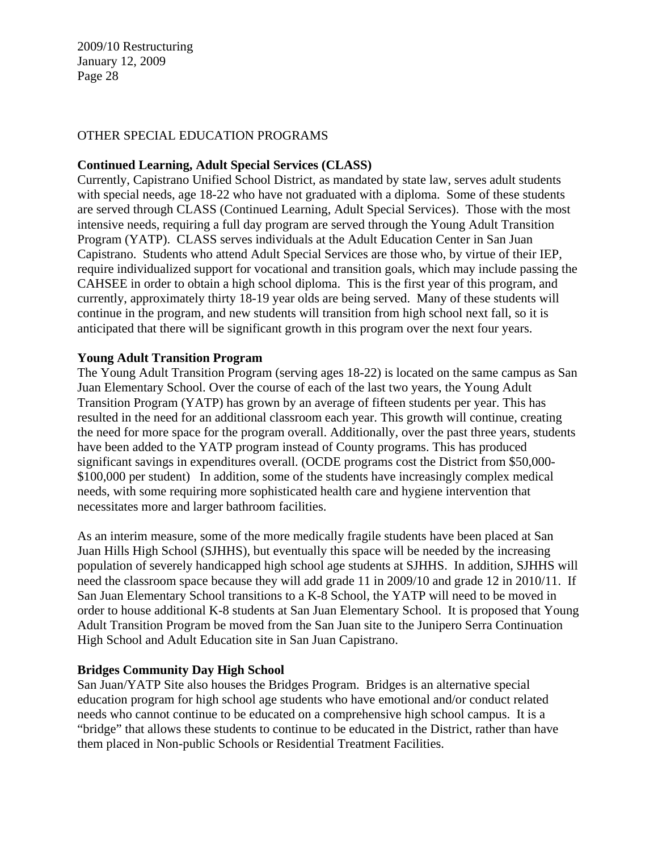#### OTHER SPECIAL EDUCATION PROGRAMS

#### **Continued Learning, Adult Special Services (CLASS)**

Currently, Capistrano Unified School District, as mandated by state law, serves adult students with special needs, age 18-22 who have not graduated with a diploma. Some of these students are served through CLASS (Continued Learning, Adult Special Services). Those with the most intensive needs, requiring a full day program are served through the Young Adult Transition Program (YATP). CLASS serves individuals at the Adult Education Center in San Juan Capistrano. Students who attend Adult Special Services are those who, by virtue of their IEP, require individualized support for vocational and transition goals, which may include passing the CAHSEE in order to obtain a high school diploma. This is the first year of this program, and currently, approximately thirty 18-19 year olds are being served. Many of these students will continue in the program, and new students will transition from high school next fall, so it is anticipated that there will be significant growth in this program over the next four years.

#### **Young Adult Transition Program**

The Young Adult Transition Program (serving ages 18-22) is located on the same campus as San Juan Elementary School. Over the course of each of the last two years, the Young Adult Transition Program (YATP) has grown by an average of fifteen students per year. This has resulted in the need for an additional classroom each year. This growth will continue, creating the need for more space for the program overall. Additionally, over the past three years, students have been added to the YATP program instead of County programs. This has produced significant savings in expenditures overall. (OCDE programs cost the District from \$50,000- \$100,000 per student) In addition, some of the students have increasingly complex medical needs, with some requiring more sophisticated health care and hygiene intervention that necessitates more and larger bathroom facilities.

As an interim measure, some of the more medically fragile students have been placed at San Juan Hills High School (SJHHS), but eventually this space will be needed by the increasing population of severely handicapped high school age students at SJHHS. In addition, SJHHS will need the classroom space because they will add grade 11 in 2009/10 and grade 12 in 2010/11. If San Juan Elementary School transitions to a K-8 School, the YATP will need to be moved in order to house additional K-8 students at San Juan Elementary School. It is proposed that Young Adult Transition Program be moved from the San Juan site to the Junipero Serra Continuation High School and Adult Education site in San Juan Capistrano.

#### **Bridges Community Day High School**

San Juan/YATP Site also houses the Bridges Program. Bridges is an alternative special education program for high school age students who have emotional and/or conduct related needs who cannot continue to be educated on a comprehensive high school campus. It is a "bridge" that allows these students to continue to be educated in the District, rather than have them placed in Non-public Schools or Residential Treatment Facilities.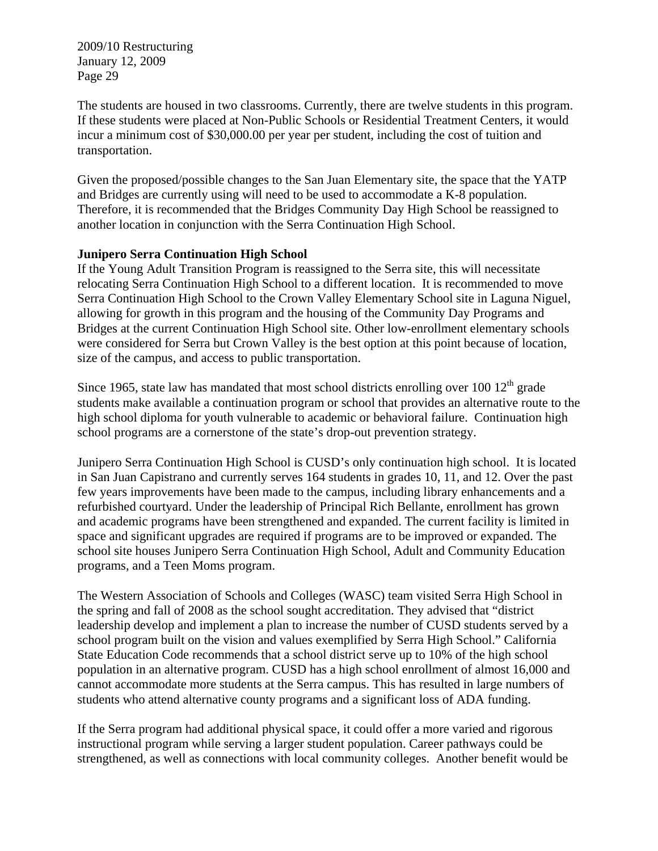The students are housed in two classrooms. Currently, there are twelve students in this program. If these students were placed at Non-Public Schools or Residential Treatment Centers, it would incur a minimum cost of \$30,000.00 per year per student, including the cost of tuition and transportation.

Given the proposed/possible changes to the San Juan Elementary site, the space that the YATP and Bridges are currently using will need to be used to accommodate a K-8 population. Therefore, it is recommended that the Bridges Community Day High School be reassigned to another location in conjunction with the Serra Continuation High School.

## **Junipero Serra Continuation High School**

If the Young Adult Transition Program is reassigned to the Serra site, this will necessitate relocating Serra Continuation High School to a different location. It is recommended to move Serra Continuation High School to the Crown Valley Elementary School site in Laguna Niguel, allowing for growth in this program and the housing of the Community Day Programs and Bridges at the current Continuation High School site. Other low-enrollment elementary schools were considered for Serra but Crown Valley is the best option at this point because of location, size of the campus, and access to public transportation.

Since 1965, state law has mandated that most school districts enrolling over 100  $12<sup>th</sup>$  grade students make available a continuation program or school that provides an alternative route to the high school diploma for youth vulnerable to academic or behavioral failure. Continuation high school programs are a cornerstone of the state's drop-out prevention strategy.

Junipero Serra Continuation High School is CUSD's only continuation high school. It is located in San Juan Capistrano and currently serves 164 students in grades 10, 11, and 12. Over the past few years improvements have been made to the campus, including library enhancements and a refurbished courtyard. Under the leadership of Principal Rich Bellante, enrollment has grown and academic programs have been strengthened and expanded. The current facility is limited in space and significant upgrades are required if programs are to be improved or expanded. The school site houses Junipero Serra Continuation High School, Adult and Community Education programs, and a Teen Moms program.

The Western Association of Schools and Colleges (WASC) team visited Serra High School in the spring and fall of 2008 as the school sought accreditation. They advised that "district leadership develop and implement a plan to increase the number of CUSD students served by a school program built on the vision and values exemplified by Serra High School." California State Education Code recommends that a school district serve up to 10% of the high school population in an alternative program. CUSD has a high school enrollment of almost 16,000 and cannot accommodate more students at the Serra campus. This has resulted in large numbers of students who attend alternative county programs and a significant loss of ADA funding.

If the Serra program had additional physical space, it could offer a more varied and rigorous instructional program while serving a larger student population. Career pathways could be strengthened, as well as connections with local community colleges. Another benefit would be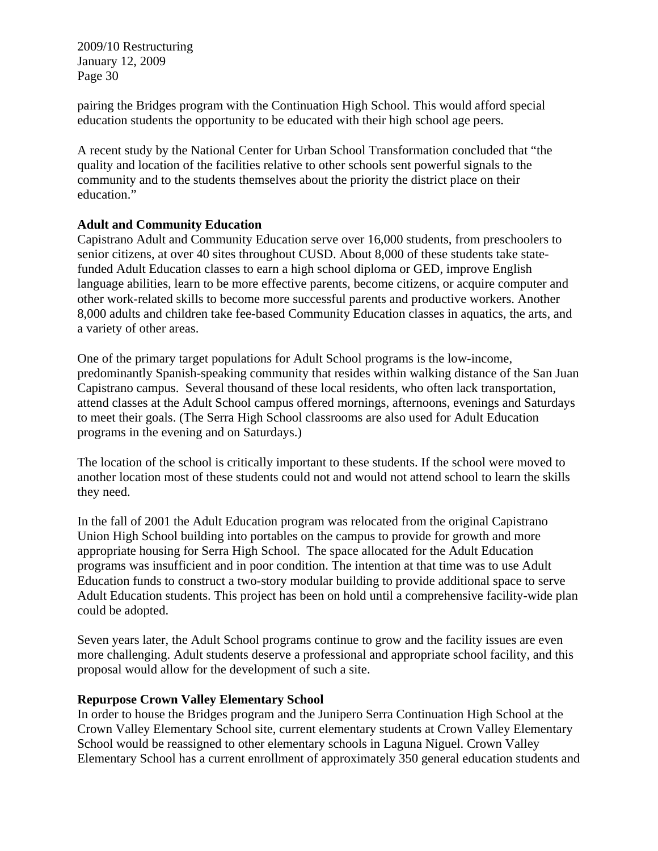pairing the Bridges program with the Continuation High School. This would afford special education students the opportunity to be educated with their high school age peers.

A recent study by the National Center for Urban School Transformation concluded that "the quality and location of the facilities relative to other schools sent powerful signals to the community and to the students themselves about the priority the district place on their education."

## **Adult and Community Education**

Capistrano Adult and Community Education serve over 16,000 students, from preschoolers to senior citizens, at over 40 sites throughout CUSD. About 8,000 of these students take statefunded Adult Education classes to earn a high school diploma or GED, improve English language abilities, learn to be more effective parents, become citizens, or acquire computer and other work-related skills to become more successful parents and productive workers. Another 8,000 adults and children take fee-based Community Education classes in aquatics, the arts, and a variety of other areas.

One of the primary target populations for Adult School programs is the low-income, predominantly Spanish-speaking community that resides within walking distance of the San Juan Capistrano campus. Several thousand of these local residents, who often lack transportation, attend classes at the Adult School campus offered mornings, afternoons, evenings and Saturdays to meet their goals. (The Serra High School classrooms are also used for Adult Education programs in the evening and on Saturdays.)

The location of the school is critically important to these students. If the school were moved to another location most of these students could not and would not attend school to learn the skills they need.

In the fall of 2001 the Adult Education program was relocated from the original Capistrano Union High School building into portables on the campus to provide for growth and more appropriate housing for Serra High School. The space allocated for the Adult Education programs was insufficient and in poor condition. The intention at that time was to use Adult Education funds to construct a two-story modular building to provide additional space to serve Adult Education students. This project has been on hold until a comprehensive facility-wide plan could be adopted.

Seven years later, the Adult School programs continue to grow and the facility issues are even more challenging. Adult students deserve a professional and appropriate school facility, and this proposal would allow for the development of such a site.

#### **Repurpose Crown Valley Elementary School**

In order to house the Bridges program and the Junipero Serra Continuation High School at the Crown Valley Elementary School site, current elementary students at Crown Valley Elementary School would be reassigned to other elementary schools in Laguna Niguel. Crown Valley Elementary School has a current enrollment of approximately 350 general education students and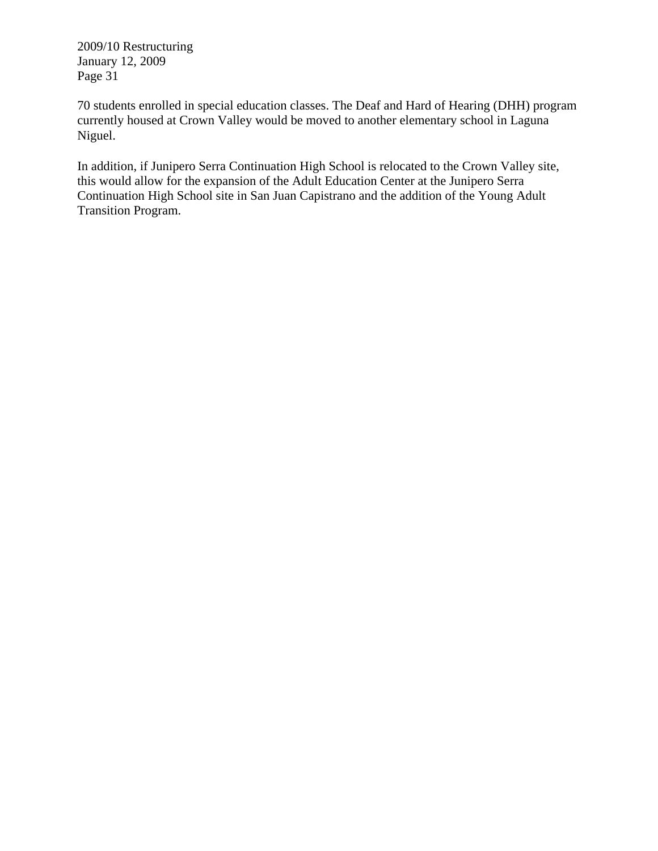70 students enrolled in special education classes. The Deaf and Hard of Hearing (DHH) program currently housed at Crown Valley would be moved to another elementary school in Laguna Niguel.

In addition, if Junipero Serra Continuation High School is relocated to the Crown Valley site, this would allow for the expansion of the Adult Education Center at the Junipero Serra Continuation High School site in San Juan Capistrano and the addition of the Young Adult Transition Program.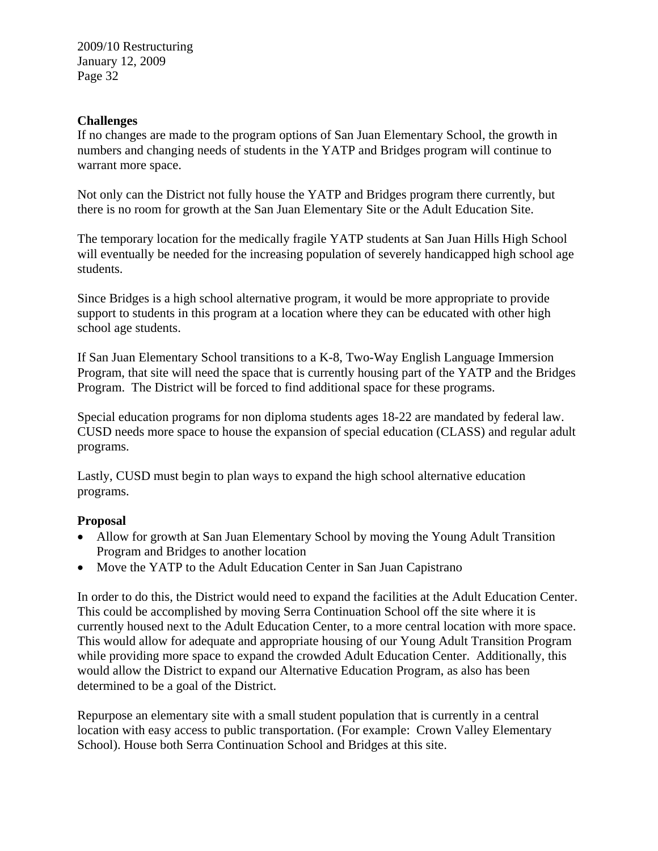#### **Challenges**

If no changes are made to the program options of San Juan Elementary School, the growth in numbers and changing needs of students in the YATP and Bridges program will continue to warrant more space.

Not only can the District not fully house the YATP and Bridges program there currently, but there is no room for growth at the San Juan Elementary Site or the Adult Education Site.

The temporary location for the medically fragile YATP students at San Juan Hills High School will eventually be needed for the increasing population of severely handicapped high school age students.

Since Bridges is a high school alternative program, it would be more appropriate to provide support to students in this program at a location where they can be educated with other high school age students.

If San Juan Elementary School transitions to a K-8, Two-Way English Language Immersion Program, that site will need the space that is currently housing part of the YATP and the Bridges Program. The District will be forced to find additional space for these programs.

Special education programs for non diploma students ages 18-22 are mandated by federal law. CUSD needs more space to house the expansion of special education (CLASS) and regular adult programs.

Lastly, CUSD must begin to plan ways to expand the high school alternative education programs.

## **Proposal**

- Allow for growth at San Juan Elementary School by moving the Young Adult Transition Program and Bridges to another location
- Move the YATP to the Adult Education Center in San Juan Capistrano

In order to do this, the District would need to expand the facilities at the Adult Education Center. This could be accomplished by moving Serra Continuation School off the site where it is currently housed next to the Adult Education Center, to a more central location with more space. This would allow for adequate and appropriate housing of our Young Adult Transition Program while providing more space to expand the crowded Adult Education Center. Additionally, this would allow the District to expand our Alternative Education Program, as also has been determined to be a goal of the District.

Repurpose an elementary site with a small student population that is currently in a central location with easy access to public transportation. (For example: Crown Valley Elementary School). House both Serra Continuation School and Bridges at this site.